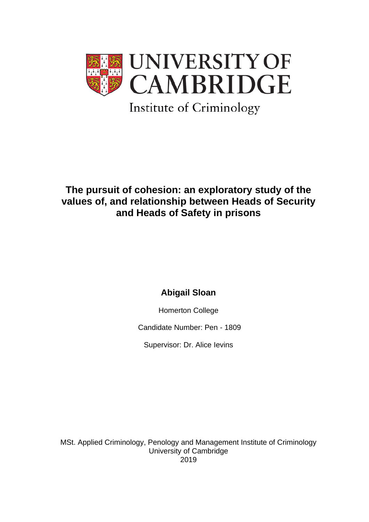

# **The pursuit of cohesion: an exploratory study of the values of, and relationship between Heads of Security and Heads of Safety in prisons**

# **Abigail Sloan**

Homerton College

Candidate Number: Pen - 1809

Supervisor: Dr. Alice Ievins

MSt. Applied Criminology, Penology and Management Institute of Criminology University of Cambridge 2019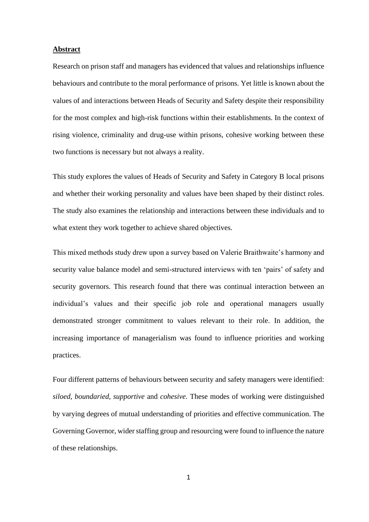#### **Abstract**

Research on prison staff and managers has evidenced that values and relationships influence behaviours and contribute to the moral performance of prisons. Yet little is known about the values of and interactions between Heads of Security and Safety despite their responsibility for the most complex and high-risk functions within their establishments. In the context of rising violence, criminality and drug-use within prisons, cohesive working between these two functions is necessary but not always a reality.

This study explores the values of Heads of Security and Safety in Category B local prisons and whether their working personality and values have been shaped by their distinct roles. The study also examines the relationship and interactions between these individuals and to what extent they work together to achieve shared objectives.

This mixed methods study drew upon a survey based on Valerie Braithwaite's harmony and security value balance model and semi-structured interviews with ten 'pairs' of safety and security governors. This research found that there was continual interaction between an individual's values and their specific job role and operational managers usually demonstrated stronger commitment to values relevant to their role. In addition, the increasing importance of managerialism was found to influence priorities and working practices.

Four different patterns of behaviours between security and safety managers were identified: *siloed*, *boundaried*, *supportive* and *cohesive*. These modes of working were distinguished by varying degrees of mutual understanding of priorities and effective communication. The Governing Governor, wider staffing group and resourcing were found to influence the nature of these relationships.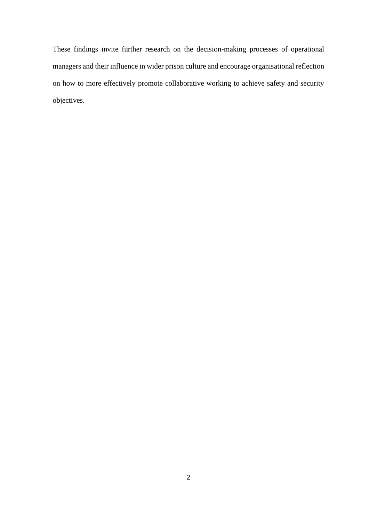These findings invite further research on the decision-making processes of operational managers and their influence in wider prison culture and encourage organisational reflection on how to more effectively promote collaborative working to achieve safety and security objectives.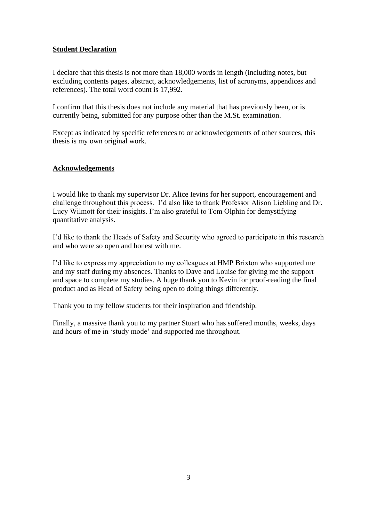# **Student Declaration**

I declare that this thesis is not more than 18,000 words in length (including notes, but excluding contents pages, abstract, acknowledgements, list of acronyms, appendices and references). The total word count is 17,992.

I confirm that this thesis does not include any material that has previously been, or is currently being, submitted for any purpose other than the M.St. examination.

Except as indicated by specific references to or acknowledgements of other sources, this thesis is my own original work.

# **Acknowledgements**

I would like to thank my supervisor Dr. Alice Ievins for her support, encouragement and challenge throughout this process. I'd also like to thank Professor Alison Liebling and Dr. Lucy Wilmott for their insights. I'm also grateful to Tom Olphin for demystifying quantitative analysis.

I'd like to thank the Heads of Safety and Security who agreed to participate in this research and who were so open and honest with me.

I'd like to express my appreciation to my colleagues at HMP Brixton who supported me and my staff during my absences. Thanks to Dave and Louise for giving me the support and space to complete my studies. A huge thank you to Kevin for proof-reading the final product and as Head of Safety being open to doing things differently.

Thank you to my fellow students for their inspiration and friendship.

Finally, a massive thank you to my partner Stuart who has suffered months, weeks, days and hours of me in 'study mode' and supported me throughout.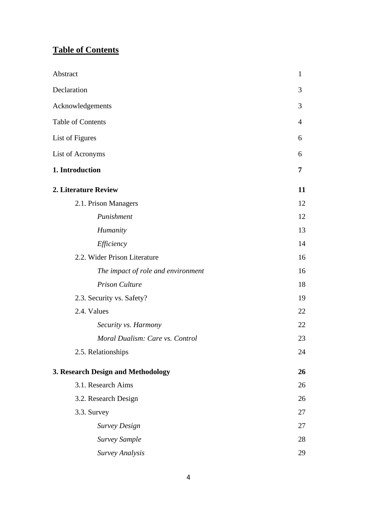# **Table of Contents**

| Abstract                           | 1              |
|------------------------------------|----------------|
| Declaration                        | 3              |
| Acknowledgements                   | 3              |
| <b>Table of Contents</b>           | $\overline{4}$ |
| List of Figures                    | 6              |
| List of Acronyms                   | 6              |
| 1. Introduction                    | 7              |
| 2. Literature Review               | 11             |
| 2.1. Prison Managers               | 12             |
| Punishment                         | 12             |
| Humanity                           | 13             |
| Efficiency                         | 14             |
| 2.2. Wider Prison Literature       | 16             |
| The impact of role and environment | 16             |
| <b>Prison Culture</b>              | 18             |
| 2.3. Security vs. Safety?          | 19             |
| 2.4. Values                        | 22             |
| Security vs. Harmony               | 22             |
| Moral Dualism: Care vs. Control    | 23             |
| 2.5. Relationships                 | 24             |
| 3. Research Design and Methodology | 26             |
| 3.1. Research Aims                 | 26             |
| 3.2. Research Design               | 26             |
| 3.3. Survey                        | 27             |
| <b>Survey Design</b>               | 27             |
| <b>Survey Sample</b>               | 28             |
| Survey Analysis                    | 29             |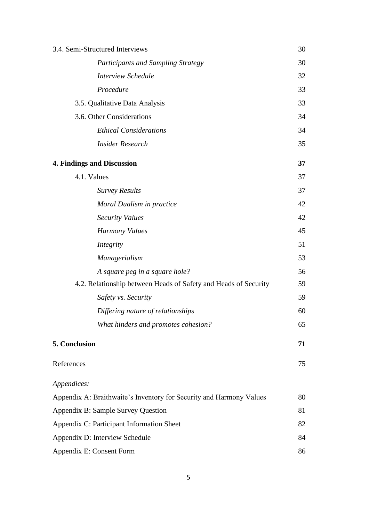| 3.4. Semi-Structured Interviews                                     | 30 |
|---------------------------------------------------------------------|----|
| Participants and Sampling Strategy                                  | 30 |
| <b>Interview Schedule</b>                                           | 32 |
| Procedure                                                           | 33 |
| 3.5. Qualitative Data Analysis                                      | 33 |
| 3.6. Other Considerations                                           | 34 |
| <b>Ethical Considerations</b>                                       | 34 |
| <b>Insider Research</b>                                             | 35 |
| <b>4. Findings and Discussion</b>                                   | 37 |
| 4.1. Values                                                         | 37 |
| <b>Survey Results</b>                                               | 37 |
| Moral Dualism in practice                                           | 42 |
| <b>Security Values</b>                                              | 42 |
| <b>Harmony Values</b>                                               | 45 |
| Integrity                                                           | 51 |
| Managerialism                                                       | 53 |
| A square peg in a square hole?                                      | 56 |
| 4.2. Relationship between Heads of Safety and Heads of Security     | 59 |
| Safety vs. Security                                                 | 59 |
| Differing nature of relationships                                   | 60 |
| What hinders and promotes cohesion?                                 | 65 |
| 5. Conclusion                                                       | 71 |
| References                                                          | 75 |
| Appendices:                                                         |    |
| Appendix A: Braithwaite's Inventory for Security and Harmony Values | 80 |
| Appendix B: Sample Survey Question                                  |    |
| Appendix C: Participant Information Sheet                           | 82 |
| Appendix D: Interview Schedule                                      | 84 |
| Appendix E: Consent Form                                            |    |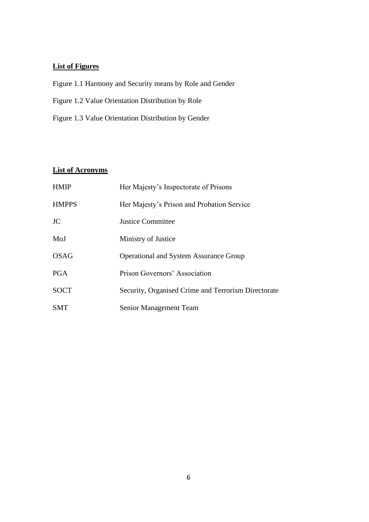# **List of Figures**

- Figure 1.1 Harmony and Security means by Role and Gender
- Figure 1.2 Value Orientation Distribution by Role
- Figure 1.3 Value Orientation Distribution by Gender

# **List of Acronyms**

| <b>HMIP</b>  | Her Majesty's Inspectorate of Prisons               |
|--------------|-----------------------------------------------------|
| <b>HMPPS</b> | Her Majesty's Prison and Probation Service          |
| <b>JC</b>    | Justice Committee                                   |
| MoJ          | Ministry of Justice                                 |
| OSAG         | <b>Operational and System Assurance Group</b>       |
| <b>PGA</b>   | Prison Governors' Association                       |
| <b>SOCT</b>  | Security, Organised Crime and Terrorism Directorate |
| <b>SMT</b>   | Senior Management Team                              |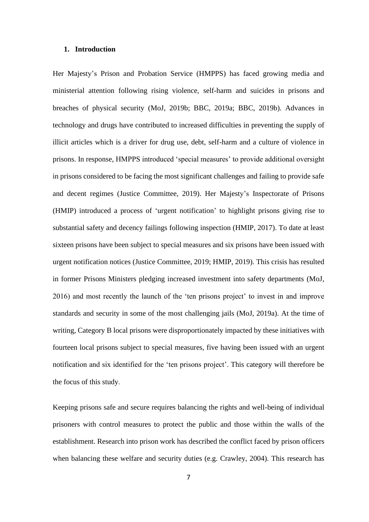#### **1. Introduction**

Her Majesty's Prison and Probation Service (HMPPS) has faced growing media and ministerial attention following rising violence, self-harm and suicides in prisons and breaches of physical security (MoJ, 2019b; BBC, 2019a; BBC, 2019b). Advances in technology and drugs have contributed to increased difficulties in preventing the supply of illicit articles which is a driver for drug use, debt, self-harm and a culture of violence in prisons. In response, HMPPS introduced 'special measures' to provide additional oversight in prisons considered to be facing the most significant challenges and failing to provide safe and decent regimes (Justice Committee, 2019). Her Majesty's Inspectorate of Prisons (HMIP) introduced a process of 'urgent notification' to highlight prisons giving rise to substantial safety and decency failings following inspection (HMIP, 2017). To date at least sixteen prisons have been subject to special measures and six prisons have been issued with urgent notification notices (Justice Committee, 2019; HMIP, 2019). This crisis has resulted in former Prisons Ministers pledging increased investment into safety departments (MoJ, 2016) and most recently the launch of the 'ten prisons project' to invest in and improve standards and security in some of the most challenging jails (MoJ, 2019a). At the time of writing, Category B local prisons were disproportionately impacted by these initiatives with fourteen local prisons subject to special measures, five having been issued with an urgent notification and six identified for the 'ten prisons project'. This category will therefore be the focus of this study.

Keeping prisons safe and secure requires balancing the rights and well-being of individual prisoners with control measures to protect the public and those within the walls of the establishment. Research into prison work has described the conflict faced by prison officers when balancing these welfare and security duties (e.g. Crawley, 2004). This research has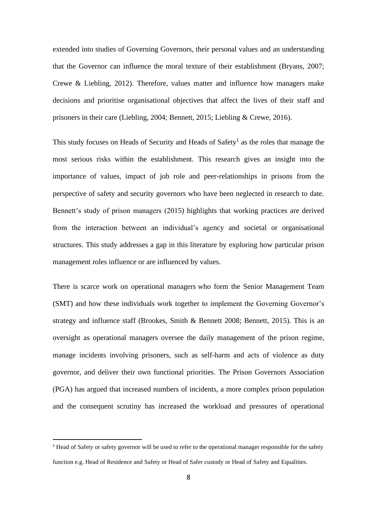extended into studies of Governing Governors, their personal values and an understanding that the Governor can influence the moral texture of their establishment (Bryans, 2007; Crewe & Liebling, 2012). Therefore, values matter and influence how managers make decisions and prioritise organisational objectives that affect the lives of their staff and prisoners in their care (Liebling, 2004; Bennett, 2015; Liebling & Crewe, 2016).

This study focuses on Heads of Security and Heads of Safety<sup>1</sup> as the roles that manage the most serious risks within the establishment. This research gives an insight into the importance of values, impact of job role and peer-relationships in prisons from the perspective of safety and security governors who have been neglected in research to date. Bennett's study of prison managers (2015) highlights that working practices are derived from the interaction between an individual's agency and societal or organisational structures. This study addresses a gap in this literature by exploring how particular prison management roles influence or are influenced by values.

There is scarce work on operational managers who form the Senior Management Team (SMT) and how these individuals work together to implement the Governing Governor's strategy and influence staff (Brookes, Smith & Bennett 2008; Bennett, 2015). This is an oversight as operational managers oversee the daily management of the prison regime, manage incidents involving prisoners, such as self-harm and acts of violence as duty governor, and deliver their own functional priorities. The Prison Governors Association (PGA) has argued that increased numbers of incidents, a more complex prison population and the consequent scrutiny has increased the workload and pressures of operational

<sup>&</sup>lt;sup>1</sup> Head of Safety or safety governor will be used to refer to the operational manager responsible for the safety function e.g. Head of Residence and Safety or Head of Safer custody or Head of Safety and Equalities.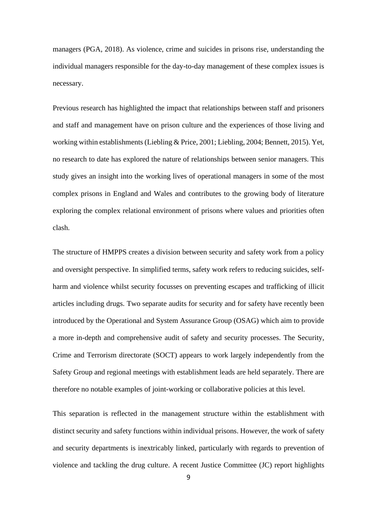managers (PGA, 2018). As violence, crime and suicides in prisons rise, understanding the individual managers responsible for the day-to-day management of these complex issues is necessary.

Previous research has highlighted the impact that relationships between staff and prisoners and staff and management have on prison culture and the experiences of those living and working within establishments (Liebling & Price, 2001; Liebling, 2004; Bennett, 2015). Yet, no research to date has explored the nature of relationships between senior managers. This study gives an insight into the working lives of operational managers in some of the most complex prisons in England and Wales and contributes to the growing body of literature exploring the complex relational environment of prisons where values and priorities often clash.

The structure of HMPPS creates a division between security and safety work from a policy and oversight perspective. In simplified terms, safety work refers to reducing suicides, selfharm and violence whilst security focusses on preventing escapes and trafficking of illicit articles including drugs. Two separate audits for security and for safety have recently been introduced by the Operational and System Assurance Group (OSAG) which aim to provide a more in-depth and comprehensive audit of safety and security processes. The Security, Crime and Terrorism directorate (SOCT) appears to work largely independently from the Safety Group and regional meetings with establishment leads are held separately. There are therefore no notable examples of joint-working or collaborative policies at this level.

This separation is reflected in the management structure within the establishment with distinct security and safety functions within individual prisons. However, the work of safety and security departments is inextricably linked, particularly with regards to prevention of violence and tackling the drug culture. A recent Justice Committee (JC) report highlights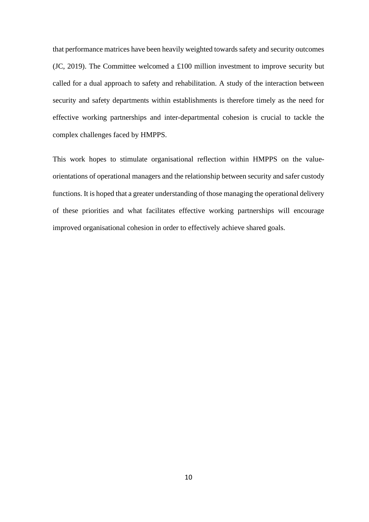that performance matrices have been heavily weighted towards safety and security outcomes (JC, 2019). The Committee welcomed a £100 million investment to improve security but called for a dual approach to safety and rehabilitation. A study of the interaction between security and safety departments within establishments is therefore timely as the need for effective working partnerships and inter-departmental cohesion is crucial to tackle the complex challenges faced by HMPPS.

This work hopes to stimulate organisational reflection within HMPPS on the valueorientations of operational managers and the relationship between security and safer custody functions. It is hoped that a greater understanding of those managing the operational delivery of these priorities and what facilitates effective working partnerships will encourage improved organisational cohesion in order to effectively achieve shared goals.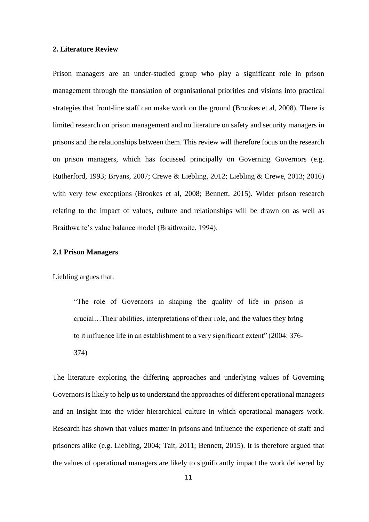#### **2. Literature Review**

Prison managers are an under-studied group who play a significant role in prison management through the translation of organisational priorities and visions into practical strategies that front-line staff can make work on the ground (Brookes et al, 2008). There is limited research on prison management and no literature on safety and security managers in prisons and the relationships between them. This review will therefore focus on the research on prison managers, which has focussed principally on Governing Governors (e.g. Rutherford, 1993; Bryans, 2007; Crewe & Liebling, 2012; Liebling & Crewe, 2013; 2016) with very few exceptions (Brookes et al, 2008; Bennett, 2015). Wider prison research relating to the impact of values, culture and relationships will be drawn on as well as Braithwaite's value balance model (Braithwaite, 1994).

#### **2.1 Prison Managers**

Liebling argues that:

"The role of Governors in shaping the quality of life in prison is crucial…Their abilities, interpretations of their role, and the values they bring to it influence life in an establishment to a very significant extent" (2004: 376- 374)

The literature exploring the differing approaches and underlying values of Governing Governors is likely to help us to understand the approaches of different operational managers and an insight into the wider hierarchical culture in which operational managers work. Research has shown that values matter in prisons and influence the experience of staff and prisoners alike (e.g. Liebling, 2004; Tait, 2011; Bennett, 2015). It is therefore argued that the values of operational managers are likely to significantly impact the work delivered by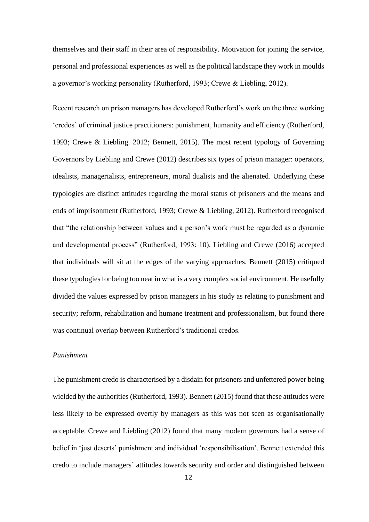themselves and their staff in their area of responsibility. Motivation for joining the service, personal and professional experiences as well as the political landscape they work in moulds a governor's working personality (Rutherford, 1993; Crewe & Liebling, 2012).

Recent research on prison managers has developed Rutherford's work on the three working 'credos' of criminal justice practitioners: punishment, humanity and efficiency (Rutherford, 1993; Crewe & Liebling. 2012; Bennett, 2015). The most recent typology of Governing Governors by Liebling and Crewe (2012) describes six types of prison manager: operators, idealists, managerialists, entrepreneurs, moral dualists and the alienated. Underlying these typologies are distinct attitudes regarding the moral status of prisoners and the means and ends of imprisonment (Rutherford, 1993; Crewe & Liebling, 2012). Rutherford recognised that "the relationship between values and a person's work must be regarded as a dynamic and developmental process" (Rutherford, 1993: 10). Liebling and Crewe (2016) accepted that individuals will sit at the edges of the varying approaches. Bennett (2015) critiqued these typologies for being too neat in what is a very complex social environment. He usefully divided the values expressed by prison managers in his study as relating to punishment and security; reform, rehabilitation and humane treatment and professionalism, but found there was continual overlap between Rutherford's traditional credos.

### *Punishment*

The punishment credo is characterised by a disdain for prisoners and unfettered power being wielded by the authorities (Rutherford, 1993). Bennett (2015) found that these attitudes were less likely to be expressed overtly by managers as this was not seen as organisationally acceptable. Crewe and Liebling (2012) found that many modern governors had a sense of belief in 'just deserts' punishment and individual 'responsibilisation'. Bennett extended this credo to include managers' attitudes towards security and order and distinguished between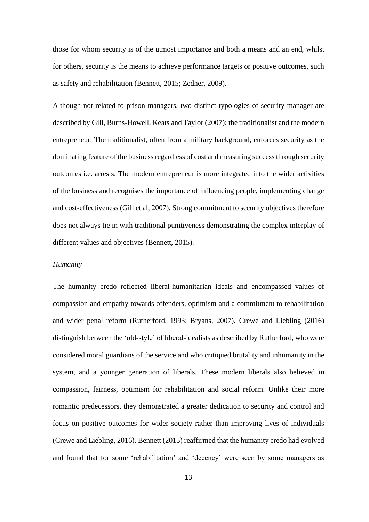those for whom security is of the utmost importance and both a means and an end, whilst for others, security is the means to achieve performance targets or positive outcomes, such as safety and rehabilitation (Bennett, 2015; Zedner, 2009).

Although not related to prison managers, two distinct typologies of security manager are described by Gill, Burns-Howell, Keats and Taylor (2007): the traditionalist and the modern entrepreneur. The traditionalist, often from a military background, enforces security as the dominating feature of the business regardless of cost and measuring success through security outcomes i.e. arrests. The modern entrepreneur is more integrated into the wider activities of the business and recognises the importance of influencing people, implementing change and cost-effectiveness (Gill et al, 2007). Strong commitment to security objectives therefore does not always tie in with traditional punitiveness demonstrating the complex interplay of different values and objectives (Bennett, 2015).

#### *Humanity*

The humanity credo reflected liberal-humanitarian ideals and encompassed values of compassion and empathy towards offenders, optimism and a commitment to rehabilitation and wider penal reform (Rutherford, 1993; Bryans, 2007). Crewe and Liebling (2016) distinguish between the 'old-style' of liberal-idealists as described by Rutherford, who were considered moral guardians of the service and who critiqued brutality and inhumanity in the system, and a younger generation of liberals. These modern liberals also believed in compassion, fairness, optimism for rehabilitation and social reform. Unlike their more romantic predecessors, they demonstrated a greater dedication to security and control and focus on positive outcomes for wider society rather than improving lives of individuals (Crewe and Liebling, 2016). Bennett (2015) reaffirmed that the humanity credo had evolved and found that for some 'rehabilitation' and 'decency' were seen by some managers as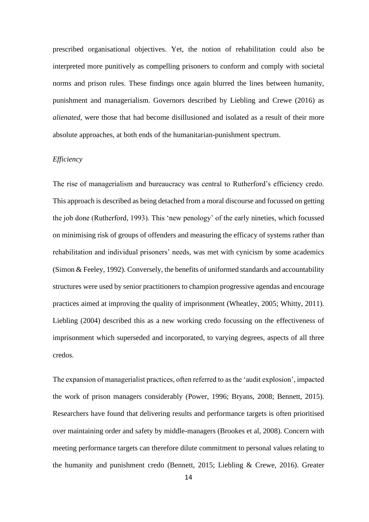prescribed organisational objectives. Yet, the notion of rehabilitation could also be interpreted more punitively as compelling prisoners to conform and comply with societal norms and prison rules. These findings once again blurred the lines between humanity, punishment and managerialism. Governors described by Liebling and Crewe (2016) as *alienated*, were those that had become disillusioned and isolated as a result of their more absolute approaches, at both ends of the humanitarian-punishment spectrum.

#### *Efficiency*

The rise of managerialism and bureaucracy was central to Rutherford's efficiency credo. This approach is described as being detached from a moral discourse and focussed on getting the job done (Rutherford, 1993). This 'new penology' of the early nineties, which focussed on minimising risk of groups of offenders and measuring the efficacy of systems rather than rehabilitation and individual prisoners' needs, was met with cynicism by some academics (Simon & Feeley, 1992). Conversely, the benefits of uniformed standards and accountability structures were used by senior practitioners to champion progressive agendas and encourage practices aimed at improving the quality of imprisonment (Wheatley, 2005; Whitty, 2011). Liebling (2004) described this as a new working credo focussing on the effectiveness of imprisonment which superseded and incorporated, to varying degrees, aspects of all three credos.

The expansion of managerialist practices, often referred to as the 'audit explosion', impacted the work of prison managers considerably (Power, 1996; Bryans, 2008; Bennett, 2015). Researchers have found that delivering results and performance targets is often prioritised over maintaining order and safety by middle-managers (Brookes et al, 2008). Concern with meeting performance targets can therefore dilute commitment to personal values relating to the humanity and punishment credo (Bennett, 2015; Liebling & Crewe, 2016). Greater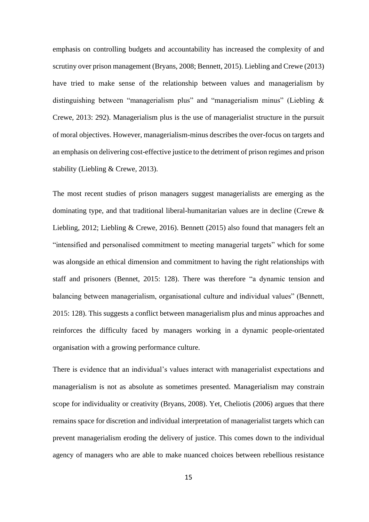emphasis on controlling budgets and accountability has increased the complexity of and scrutiny over prison management (Bryans, 2008; Bennett, 2015). Liebling and Crewe (2013) have tried to make sense of the relationship between values and managerialism by distinguishing between "managerialism plus" and "managerialism minus" (Liebling & Crewe, 2013: 292). Managerialism plus is the use of managerialist structure in the pursuit of moral objectives. However, managerialism-minus describes the over-focus on targets and an emphasis on delivering cost-effective justice to the detriment of prison regimes and prison stability (Liebling & Crewe, 2013).

The most recent studies of prison managers suggest managerialists are emerging as the dominating type, and that traditional liberal-humanitarian values are in decline (Crewe & Liebling, 2012; Liebling & Crewe, 2016). Bennett (2015) also found that managers felt an "intensified and personalised commitment to meeting managerial targets" which for some was alongside an ethical dimension and commitment to having the right relationships with staff and prisoners (Bennet, 2015: 128). There was therefore "a dynamic tension and balancing between managerialism, organisational culture and individual values" (Bennett, 2015: 128). This suggests a conflict between managerialism plus and minus approaches and reinforces the difficulty faced by managers working in a dynamic people-orientated organisation with a growing performance culture.

There is evidence that an individual's values interact with managerialist expectations and managerialism is not as absolute as sometimes presented. Managerialism may constrain scope for individuality or creativity (Bryans, 2008). Yet, Cheliotis (2006) argues that there remains space for discretion and individual interpretation of managerialist targets which can prevent managerialism eroding the delivery of justice. This comes down to the individual agency of managers who are able to make nuanced choices between rebellious resistance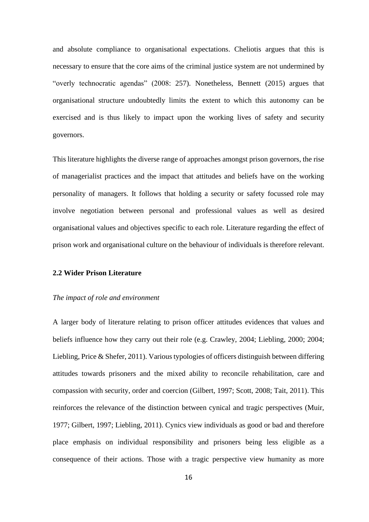and absolute compliance to organisational expectations. Cheliotis argues that this is necessary to ensure that the core aims of the criminal justice system are not undermined by "overly technocratic agendas" (2008: 257). Nonetheless, Bennett (2015) argues that organisational structure undoubtedly limits the extent to which this autonomy can be exercised and is thus likely to impact upon the working lives of safety and security governors.

This literature highlights the diverse range of approaches amongst prison governors, the rise of managerialist practices and the impact that attitudes and beliefs have on the working personality of managers. It follows that holding a security or safety focussed role may involve negotiation between personal and professional values as well as desired organisational values and objectives specific to each role. Literature regarding the effect of prison work and organisational culture on the behaviour of individuals is therefore relevant.

#### **2.2 Wider Prison Literature**

#### *The impact of role and environment*

A larger body of literature relating to prison officer attitudes evidences that values and beliefs influence how they carry out their role (e.g. Crawley, 2004; Liebling, 2000; 2004; Liebling, Price & Shefer, 2011). Various typologies of officers distinguish between differing attitudes towards prisoners and the mixed ability to reconcile rehabilitation, care and compassion with security, order and coercion (Gilbert, 1997; Scott, 2008; Tait, 2011). This reinforces the relevance of the distinction between cynical and tragic perspectives (Muir, 1977; Gilbert, 1997; Liebling, 2011). Cynics view individuals as good or bad and therefore place emphasis on individual responsibility and prisoners being less eligible as a consequence of their actions. Those with a tragic perspective view humanity as more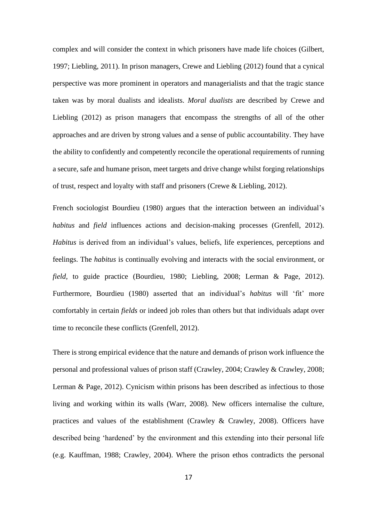complex and will consider the context in which prisoners have made life choices (Gilbert, 1997; Liebling, 2011). In prison managers, Crewe and Liebling (2012) found that a cynical perspective was more prominent in operators and managerialists and that the tragic stance taken was by moral dualists and idealists. *Moral dualists* are described by Crewe and Liebling (2012) as prison managers that encompass the strengths of all of the other approaches and are driven by strong values and a sense of public accountability. They have the ability to confidently and competently reconcile the operational requirements of running a secure, safe and humane prison, meet targets and drive change whilst forging relationships of trust, respect and loyalty with staff and prisoners (Crewe & Liebling, 2012).

French sociologist Bourdieu (1980) argues that the interaction between an individual's *habitus* and *field* influences actions and decision-making processes (Grenfell, 2012). *Habitus* is derived from an individual's values, beliefs, life experiences, perceptions and feelings. The *habitus* is continually evolving and interacts with the social environment, or *field,* to guide practice (Bourdieu, 1980; Liebling, 2008; Lerman & Page, 2012). Furthermore, Bourdieu (1980) asserted that an individual's *habitus* will 'fit' more comfortably in certain *fields* or indeed job roles than others but that individuals adapt over time to reconcile these conflicts (Grenfell, 2012).

There is strong empirical evidence that the nature and demands of prison work influence the personal and professional values of prison staff (Crawley, 2004; Crawley & Crawley, 2008; Lerman & Page, 2012). Cynicism within prisons has been described as infectious to those living and working within its walls (Warr, 2008). New officers internalise the culture, practices and values of the establishment (Crawley & Crawley, 2008). Officers have described being 'hardened' by the environment and this extending into their personal life (e.g. Kauffman, 1988; Crawley, 2004). Where the prison ethos contradicts the personal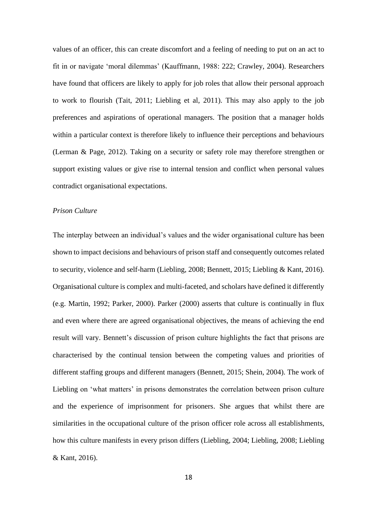values of an officer, this can create discomfort and a feeling of needing to put on an act to fit in or navigate 'moral dilemmas' (Kauffmann, 1988: 222; Crawley, 2004). Researchers have found that officers are likely to apply for job roles that allow their personal approach to work to flourish (Tait, 2011; Liebling et al, 2011). This may also apply to the job preferences and aspirations of operational managers. The position that a manager holds within a particular context is therefore likely to influence their perceptions and behaviours (Lerman & Page, 2012). Taking on a security or safety role may therefore strengthen or support existing values or give rise to internal tension and conflict when personal values contradict organisational expectations.

#### *Prison Culture*

The interplay between an individual's values and the wider organisational culture has been shown to impact decisions and behaviours of prison staff and consequently outcomes related to security, violence and self-harm (Liebling, 2008; Bennett, 2015; Liebling & Kant, 2016). Organisational culture is complex and multi-faceted, and scholars have defined it differently (e.g. Martin, 1992; Parker, 2000). Parker (2000) asserts that culture is continually in flux and even where there are agreed organisational objectives, the means of achieving the end result will vary. Bennett's discussion of prison culture highlights the fact that prisons are characterised by the continual tension between the competing values and priorities of different staffing groups and different managers (Bennett, 2015; Shein, 2004). The work of Liebling on 'what matters' in prisons demonstrates the correlation between prison culture and the experience of imprisonment for prisoners. She argues that whilst there are similarities in the occupational culture of the prison officer role across all establishments, how this culture manifests in every prison differs (Liebling, 2004; Liebling, 2008; Liebling & Kant, 2016).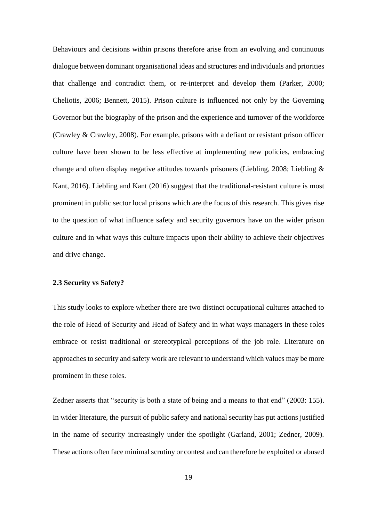Behaviours and decisions within prisons therefore arise from an evolving and continuous dialogue between dominant organisational ideas and structures and individuals and priorities that challenge and contradict them, or re-interpret and develop them (Parker, 2000; Cheliotis, 2006; Bennett, 2015). Prison culture is influenced not only by the Governing Governor but the biography of the prison and the experience and turnover of the workforce (Crawley & Crawley, 2008). For example, prisons with a defiant or resistant prison officer culture have been shown to be less effective at implementing new policies, embracing change and often display negative attitudes towards prisoners (Liebling, 2008; Liebling & Kant, 2016). Liebling and Kant (2016) suggest that the traditional-resistant culture is most prominent in public sector local prisons which are the focus of this research. This gives rise to the question of what influence safety and security governors have on the wider prison culture and in what ways this culture impacts upon their ability to achieve their objectives and drive change.

## **2.3 Security vs Safety?**

This study looks to explore whether there are two distinct occupational cultures attached to the role of Head of Security and Head of Safety and in what ways managers in these roles embrace or resist traditional or stereotypical perceptions of the job role. Literature on approaches to security and safety work are relevant to understand which values may be more prominent in these roles.

Zedner asserts that "security is both a state of being and a means to that end" (2003: 155). In wider literature, the pursuit of public safety and national security has put actions justified in the name of security increasingly under the spotlight (Garland, 2001; Zedner, 2009). These actions often face minimal scrutiny or contest and can therefore be exploited or abused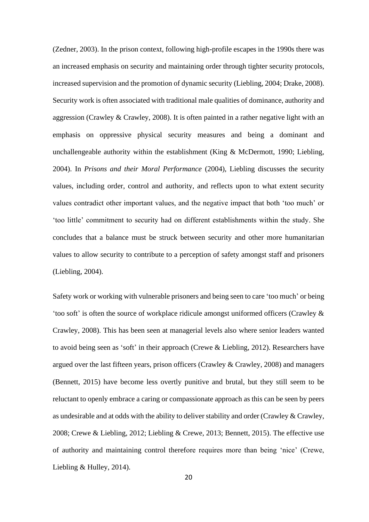(Zedner, 2003). In the prison context, following high-profile escapes in the 1990s there was an increased emphasis on security and maintaining order through tighter security protocols, increased supervision and the promotion of dynamic security (Liebling, 2004; Drake, 2008). Security work is often associated with traditional male qualities of dominance, authority and aggression (Crawley & Crawley, 2008). It is often painted in a rather negative light with an emphasis on oppressive physical security measures and being a dominant and unchallengeable authority within the establishment (King & McDermott, 1990; Liebling, 2004). In *Prisons and their Moral Performance* (2004), Liebling discusses the security values, including order, control and authority, and reflects upon to what extent security values contradict other important values, and the negative impact that both 'too much' or 'too little' commitment to security had on different establishments within the study. She concludes that a balance must be struck between security and other more humanitarian values to allow security to contribute to a perception of safety amongst staff and prisoners (Liebling, 2004).

Safety work or working with vulnerable prisoners and being seen to care 'too much' or being 'too soft' is often the source of workplace ridicule amongst uniformed officers (Crawley & Crawley, 2008). This has been seen at managerial levels also where senior leaders wanted to avoid being seen as 'soft' in their approach (Crewe & Liebling, 2012). Researchers have argued over the last fifteen years, prison officers (Crawley & Crawley, 2008) and managers (Bennett, 2015) have become less overtly punitive and brutal, but they still seem to be reluctant to openly embrace a caring or compassionate approach as this can be seen by peers as undesirable and at odds with the ability to deliver stability and order (Crawley & Crawley, 2008; Crewe & Liebling, 2012; Liebling & Crewe, 2013; Bennett, 2015). The effective use of authority and maintaining control therefore requires more than being 'nice' (Crewe, Liebling & Hulley, 2014).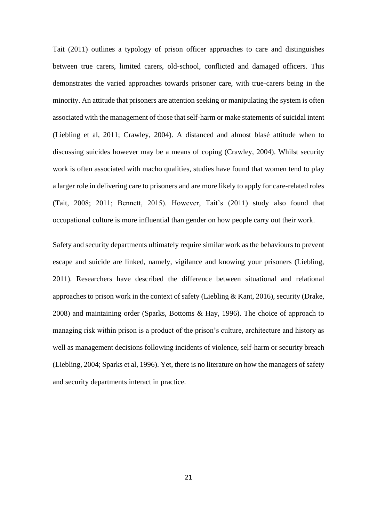Tait (2011) outlines a typology of prison officer approaches to care and distinguishes between true carers, limited carers, old-school, conflicted and damaged officers. This demonstrates the varied approaches towards prisoner care, with true-carers being in the minority. An attitude that prisoners are attention seeking or manipulating the system is often associated with the management of those that self-harm or make statements of suicidal intent (Liebling et al, 2011; Crawley, 2004). A distanced and almost blasé attitude when to discussing suicides however may be a means of coping (Crawley, 2004). Whilst security work is often associated with macho qualities, studies have found that women tend to play a larger role in delivering care to prisoners and are more likely to apply for care-related roles (Tait, 2008; 2011; Bennett, 2015). However, Tait's (2011) study also found that occupational culture is more influential than gender on how people carry out their work.

Safety and security departments ultimately require similar work as the behaviours to prevent escape and suicide are linked, namely, vigilance and knowing your prisoners (Liebling, 2011). Researchers have described the difference between situational and relational approaches to prison work in the context of safety (Liebling  $& Kant, 2016$ ), security (Drake, 2008) and maintaining order (Sparks, Bottoms & Hay, 1996). The choice of approach to managing risk within prison is a product of the prison's culture, architecture and history as well as management decisions following incidents of violence, self-harm or security breach (Liebling, 2004; Sparks et al, 1996). Yet, there is no literature on how the managers of safety and security departments interact in practice.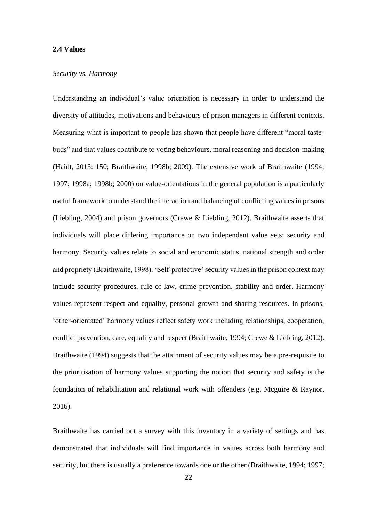#### **2.4 Values**

#### *Security vs. Harmony*

Understanding an individual's value orientation is necessary in order to understand the diversity of attitudes, motivations and behaviours of prison managers in different contexts. Measuring what is important to people has shown that people have different "moral tastebuds" and that values contribute to voting behaviours, moral reasoning and decision-making (Haidt, 2013: 150; Braithwaite, 1998b; 2009). The extensive work of Braithwaite (1994; 1997; 1998a; 1998b; 2000) on value-orientations in the general population is a particularly useful framework to understand the interaction and balancing of conflicting values in prisons (Liebling, 2004) and prison governors (Crewe & Liebling, 2012). Braithwaite asserts that individuals will place differing importance on two independent value sets: security and harmony. Security values relate to social and economic status, national strength and order and propriety (Braithwaite, 1998). 'Self-protective' security values in the prison context may include security procedures, rule of law, crime prevention, stability and order. Harmony values represent respect and equality, personal growth and sharing resources. In prisons, 'other-orientated' harmony values reflect safety work including relationships, cooperation, conflict prevention, care, equality and respect (Braithwaite, 1994; Crewe & Liebling, 2012). Braithwaite (1994) suggests that the attainment of security values may be a pre-requisite to the prioritisation of harmony values supporting the notion that security and safety is the foundation of rehabilitation and relational work with offenders (e.g. Mcguire & Raynor, 2016).

Braithwaite has carried out a survey with this inventory in a variety of settings and has demonstrated that individuals will find importance in values across both harmony and security, but there is usually a preference towards one or the other (Braithwaite, 1994; 1997;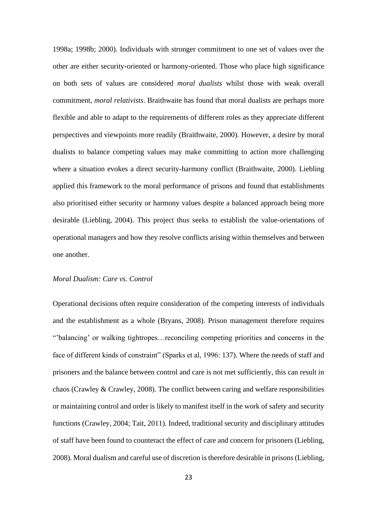1998a; 1998b; 2000). Individuals with stronger commitment to one set of values over the other are either security-oriented or harmony-oriented. Those who place high significance on both sets of values are considered *moral dualists* whilst those with weak overall commitment, *moral relativists*. Braithwaite has found that moral dualists are perhaps more flexible and able to adapt to the requirements of different roles as they appreciate different perspectives and viewpoints more readily (Braithwaite, 2000). However, a desire by moral dualists to balance competing values may make committing to action more challenging where a situation evokes a direct security-harmony conflict (Braithwaite, 2000). Liebling applied this framework to the moral performance of prisons and found that establishments also prioritised either security or harmony values despite a balanced approach being more desirable (Liebling, 2004). This project thus seeks to establish the value-orientations of operational managers and how they resolve conflicts arising within themselves and between one another.

#### *Moral Dualism: Care vs. Control*

Operational decisions often require consideration of the competing interests of individuals and the establishment as a whole (Bryans, 2008). Prison management therefore requires "'balancing' or walking tightropes…reconciling competing priorities and concerns in the face of different kinds of constraint" (Sparks et al, 1996: 137). Where the needs of staff and prisoners and the balance between control and care is not met sufficiently, this can result in chaos (Crawley & Crawley, 2008). The conflict between caring and welfare responsibilities or maintaining control and order is likely to manifest itself in the work of safety and security functions (Crawley, 2004; Tait, 2011). Indeed, traditional security and disciplinary attitudes of staff have been found to counteract the effect of care and concern for prisoners (Liebling, 2008). Moral dualism and careful use of discretion is therefore desirable in prisons (Liebling,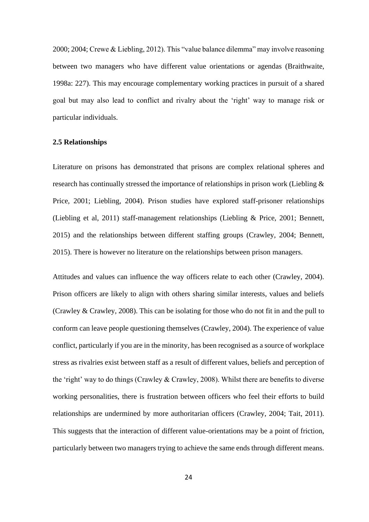2000; 2004; Crewe & Liebling, 2012). This "value balance dilemma" may involve reasoning between two managers who have different value orientations or agendas (Braithwaite, 1998a: 227). This may encourage complementary working practices in pursuit of a shared goal but may also lead to conflict and rivalry about the 'right' way to manage risk or particular individuals.

#### **2.5 Relationships**

Literature on prisons has demonstrated that prisons are complex relational spheres and research has continually stressed the importance of relationships in prison work (Liebling & Price, 2001; Liebling, 2004). Prison studies have explored staff-prisoner relationships (Liebling et al, 2011) staff-management relationships (Liebling & Price, 2001; Bennett, 2015) and the relationships between different staffing groups (Crawley, 2004; Bennett, 2015). There is however no literature on the relationships between prison managers.

Attitudes and values can influence the way officers relate to each other (Crawley, 2004). Prison officers are likely to align with others sharing similar interests, values and beliefs (Crawley & Crawley, 2008). This can be isolating for those who do not fit in and the pull to conform can leave people questioning themselves (Crawley, 2004). The experience of value conflict, particularly if you are in the minority, has been recognised as a source of workplace stress as rivalries exist between staff as a result of different values, beliefs and perception of the 'right' way to do things (Crawley & Crawley, 2008). Whilst there are benefits to diverse working personalities, there is frustration between officers who feel their efforts to build relationships are undermined by more authoritarian officers (Crawley, 2004; Tait, 2011). This suggests that the interaction of different value-orientations may be a point of friction, particularly between two managers trying to achieve the same ends through different means.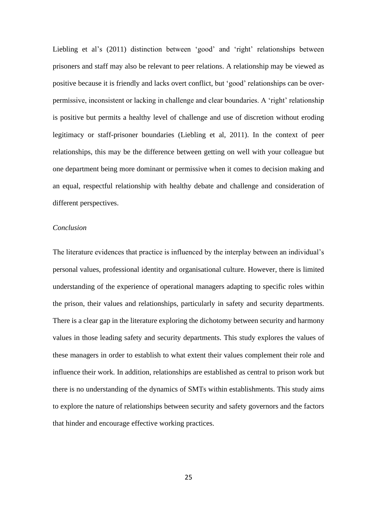Liebling et al's (2011) distinction between 'good' and 'right' relationships between prisoners and staff may also be relevant to peer relations. A relationship may be viewed as positive because it is friendly and lacks overt conflict, but 'good' relationships can be overpermissive, inconsistent or lacking in challenge and clear boundaries. A 'right' relationship is positive but permits a healthy level of challenge and use of discretion without eroding legitimacy or staff-prisoner boundaries (Liebling et al, 2011). In the context of peer relationships, this may be the difference between getting on well with your colleague but one department being more dominant or permissive when it comes to decision making and an equal, respectful relationship with healthy debate and challenge and consideration of different perspectives.

#### *Conclusion*

The literature evidences that practice is influenced by the interplay between an individual's personal values, professional identity and organisational culture. However, there is limited understanding of the experience of operational managers adapting to specific roles within the prison, their values and relationships, particularly in safety and security departments. There is a clear gap in the literature exploring the dichotomy between security and harmony values in those leading safety and security departments. This study explores the values of these managers in order to establish to what extent their values complement their role and influence their work. In addition, relationships are established as central to prison work but there is no understanding of the dynamics of SMTs within establishments. This study aims to explore the nature of relationships between security and safety governors and the factors that hinder and encourage effective working practices.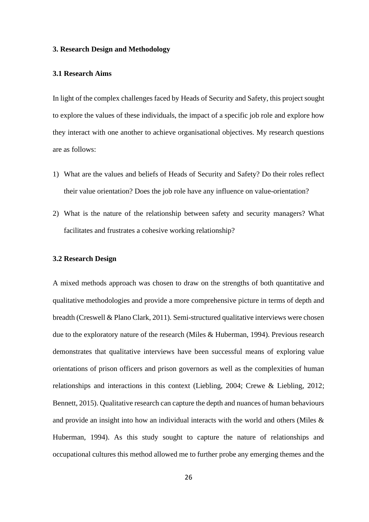#### **3. Research Design and Methodology**

#### **3.1 Research Aims**

In light of the complex challenges faced by Heads of Security and Safety, this project sought to explore the values of these individuals, the impact of a specific job role and explore how they interact with one another to achieve organisational objectives. My research questions are as follows:

- 1) What are the values and beliefs of Heads of Security and Safety? Do their roles reflect their value orientation? Does the job role have any influence on value-orientation?
- 2) What is the nature of the relationship between safety and security managers? What facilitates and frustrates a cohesive working relationship?

#### **3.2 Research Design**

A mixed methods approach was chosen to draw on the strengths of both quantitative and qualitative methodologies and provide a more comprehensive picture in terms of depth and breadth (Creswell & Plano Clark, 2011). Semi-structured qualitative interviews were chosen due to the exploratory nature of the research (Miles & Huberman, 1994). Previous research demonstrates that qualitative interviews have been successful means of exploring value orientations of prison officers and prison governors as well as the complexities of human relationships and interactions in this context (Liebling, 2004; Crewe & Liebling, 2012; Bennett, 2015). Qualitative research can capture the depth and nuances of human behaviours and provide an insight into how an individual interacts with the world and others (Miles & Huberman, 1994). As this study sought to capture the nature of relationships and occupational cultures this method allowed me to further probe any emerging themes and the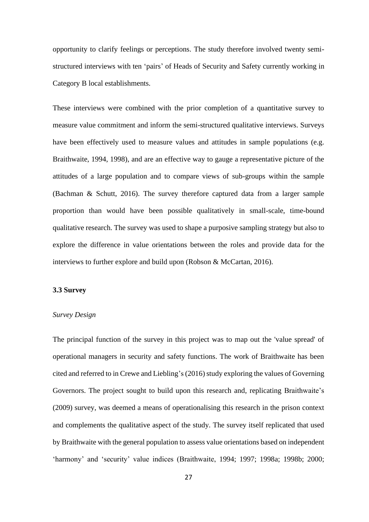opportunity to clarify feelings or perceptions. The study therefore involved twenty semistructured interviews with ten 'pairs' of Heads of Security and Safety currently working in Category B local establishments.

These interviews were combined with the prior completion of a quantitative survey to measure value commitment and inform the semi-structured qualitative interviews. Surveys have been effectively used to measure values and attitudes in sample populations (e.g. Braithwaite, 1994, 1998), and are an effective way to gauge a representative picture of the attitudes of a large population and to compare views of sub-groups within the sample (Bachman & Schutt, 2016). The survey therefore captured data from a larger sample proportion than would have been possible qualitatively in small-scale, time-bound qualitative research. The survey was used to shape a purposive sampling strategy but also to explore the difference in value orientations between the roles and provide data for the interviews to further explore and build upon (Robson & McCartan, 2016).

#### **3.3 Survey**

#### *Survey Design*

The principal function of the survey in this project was to map out the 'value spread' of operational managers in security and safety functions. The work of Braithwaite has been cited and referred to in Crewe and Liebling's (2016) study exploring the values of Governing Governors. The project sought to build upon this research and, replicating Braithwaite's (2009) survey, was deemed a means of operationalising this research in the prison context and complements the qualitative aspect of the study. The survey itself replicated that used by Braithwaite with the general population to assess value orientations based on independent 'harmony' and 'security' value indices (Braithwaite, 1994; 1997; 1998a; 1998b; 2000;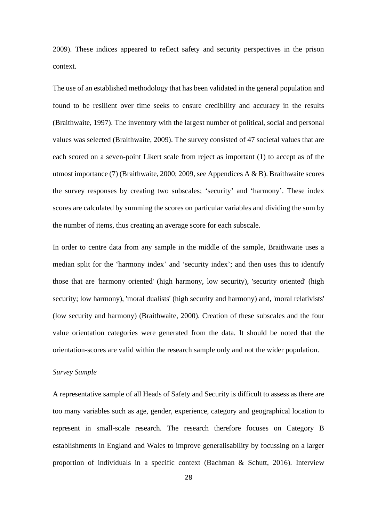2009). These indices appeared to reflect safety and security perspectives in the prison context.

The use of an established methodology that has been validated in the general population and found to be resilient over time seeks to ensure credibility and accuracy in the results (Braithwaite, 1997). The inventory with the largest number of political, social and personal values was selected (Braithwaite, 2009). The survey consisted of 47 societal values that are each scored on a seven-point Likert scale from reject as important (1) to accept as of the utmost importance (7) (Braithwaite, 2000; 2009, see Appendices A & B). Braithwaite scores the survey responses by creating two subscales; 'security' and 'harmony'. These index scores are calculated by summing the scores on particular variables and dividing the sum by the number of items, thus creating an average score for each subscale.

In order to centre data from any sample in the middle of the sample, Braithwaite uses a median split for the 'harmony index' and 'security index'; and then uses this to identify those that are 'harmony oriented' (high harmony, low security), 'security oriented' (high security; low harmony), 'moral dualists' (high security and harmony) and, 'moral relativists' (low security and harmony) (Braithwaite, 2000). Creation of these subscales and the four value orientation categories were generated from the data. It should be noted that the orientation-scores are valid within the research sample only and not the wider population.

#### *Survey Sample*

A representative sample of all Heads of Safety and Security is difficult to assess as there are too many variables such as age, gender, experience, category and geographical location to represent in small-scale research. The research therefore focuses on Category B establishments in England and Wales to improve generalisability by focussing on a larger proportion of individuals in a specific context (Bachman & Schutt, 2016). Interview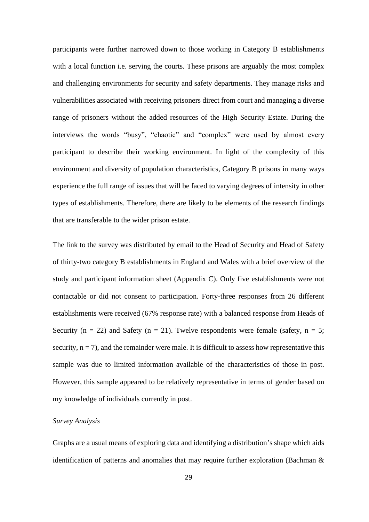participants were further narrowed down to those working in Category B establishments with a local function i.e. serving the courts. These prisons are arguably the most complex and challenging environments for security and safety departments. They manage risks and vulnerabilities associated with receiving prisoners direct from court and managing a diverse range of prisoners without the added resources of the High Security Estate. During the interviews the words "busy", "chaotic" and "complex" were used by almost every participant to describe their working environment. In light of the complexity of this environment and diversity of population characteristics, Category B prisons in many ways experience the full range of issues that will be faced to varying degrees of intensity in other types of establishments. Therefore, there are likely to be elements of the research findings that are transferable to the wider prison estate.

The link to the survey was distributed by email to the Head of Security and Head of Safety of thirty-two category B establishments in England and Wales with a brief overview of the study and participant information sheet (Appendix C). Only five establishments were not contactable or did not consent to participation. Forty-three responses from 26 different establishments were received (67% response rate) with a balanced response from Heads of Security ( $n = 22$ ) and Safety ( $n = 21$ ). Twelve respondents were female (safety,  $n = 5$ ; security,  $n = 7$ ), and the remainder were male. It is difficult to assess how representative this sample was due to limited information available of the characteristics of those in post. However, this sample appeared to be relatively representative in terms of gender based on my knowledge of individuals currently in post.

#### *Survey Analysis*

Graphs are a usual means of exploring data and identifying a distribution's shape which aids identification of patterns and anomalies that may require further exploration (Bachman &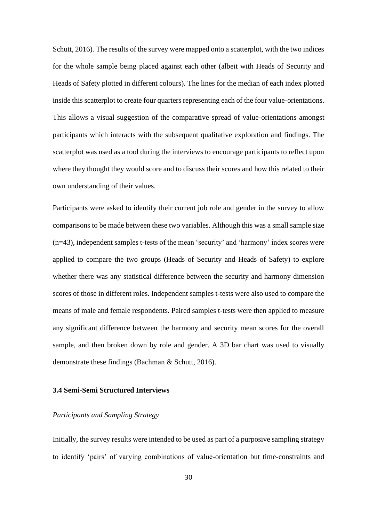Schutt, 2016). The results of the survey were mapped onto a scatterplot, with the two indices for the whole sample being placed against each other (albeit with Heads of Security and Heads of Safety plotted in different colours). The lines for the median of each index plotted inside this scatterplot to create four quarters representing each of the four value-orientations. This allows a visual suggestion of the comparative spread of value-orientations amongst participants which interacts with the subsequent qualitative exploration and findings. The scatterplot was used as a tool during the interviews to encourage participants to reflect upon where they thought they would score and to discuss their scores and how this related to their own understanding of their values.

Participants were asked to identify their current job role and gender in the survey to allow comparisons to be made between these two variables. Although this was a small sample size (n=43), independent samples t-tests of the mean 'security' and 'harmony' index scores were applied to compare the two groups (Heads of Security and Heads of Safety) to explore whether there was any statistical difference between the security and harmony dimension scores of those in different roles. Independent samples t-tests were also used to compare the means of male and female respondents. Paired samples t-tests were then applied to measure any significant difference between the harmony and security mean scores for the overall sample, and then broken down by role and gender. A 3D bar chart was used to visually demonstrate these findings (Bachman & Schutt, 2016).

# **3.4 Semi-Semi Structured Interviews**

### *Participants and Sampling Strategy*

Initially, the survey results were intended to be used as part of a purposive sampling strategy to identify 'pairs' of varying combinations of value-orientation but time-constraints and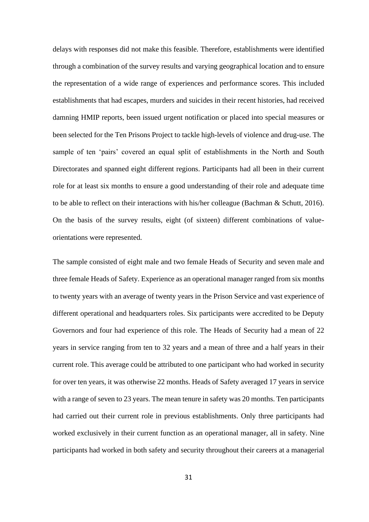delays with responses did not make this feasible. Therefore, establishments were identified through a combination of the survey results and varying geographical location and to ensure the representation of a wide range of experiences and performance scores. This included establishments that had escapes, murders and suicides in their recent histories, had received damning HMIP reports, been issued urgent notification or placed into special measures or been selected for the Ten Prisons Project to tackle high-levels of violence and drug-use. The sample of ten 'pairs' covered an equal split of establishments in the North and South Directorates and spanned eight different regions. Participants had all been in their current role for at least six months to ensure a good understanding of their role and adequate time to be able to reflect on their interactions with his/her colleague (Bachman & Schutt, 2016). On the basis of the survey results, eight (of sixteen) different combinations of valueorientations were represented.

The sample consisted of eight male and two female Heads of Security and seven male and three female Heads of Safety. Experience as an operational manager ranged from six months to twenty years with an average of twenty years in the Prison Service and vast experience of different operational and headquarters roles. Six participants were accredited to be Deputy Governors and four had experience of this role. The Heads of Security had a mean of 22 years in service ranging from ten to 32 years and a mean of three and a half years in their current role. This average could be attributed to one participant who had worked in security for over ten years, it was otherwise 22 months. Heads of Safety averaged 17 years in service with a range of seven to 23 years. The mean tenure in safety was 20 months. Ten participants had carried out their current role in previous establishments. Only three participants had worked exclusively in their current function as an operational manager, all in safety. Nine participants had worked in both safety and security throughout their careers at a managerial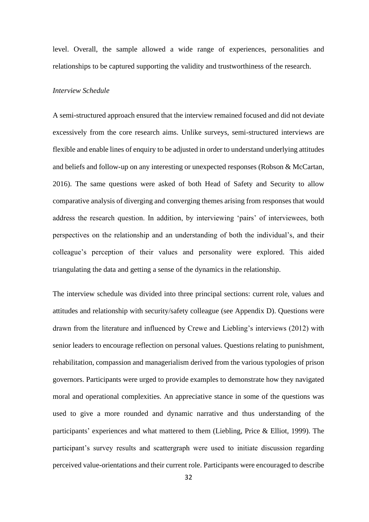level. Overall, the sample allowed a wide range of experiences, personalities and relationships to be captured supporting the validity and trustworthiness of the research.

#### *Interview Schedule*

A semi-structured approach ensured that the interview remained focused and did not deviate excessively from the core research aims. Unlike surveys, semi-structured interviews are flexible and enable lines of enquiry to be adjusted in order to understand underlying attitudes and beliefs and follow-up on any interesting or unexpected responses (Robson & McCartan, 2016). The same questions were asked of both Head of Safety and Security to allow comparative analysis of diverging and converging themes arising from responses that would address the research question. In addition, by interviewing 'pairs' of interviewees, both perspectives on the relationship and an understanding of both the individual's, and their colleague's perception of their values and personality were explored. This aided triangulating the data and getting a sense of the dynamics in the relationship.

The interview schedule was divided into three principal sections: current role, values and attitudes and relationship with security/safety colleague (see Appendix D). Questions were drawn from the literature and influenced by Crewe and Liebling's interviews (2012) with senior leaders to encourage reflection on personal values. Questions relating to punishment, rehabilitation, compassion and managerialism derived from the various typologies of prison governors. Participants were urged to provide examples to demonstrate how they navigated moral and operational complexities. An appreciative stance in some of the questions was used to give a more rounded and dynamic narrative and thus understanding of the participants' experiences and what mattered to them (Liebling, Price & Elliot, 1999). The participant's survey results and scattergraph were used to initiate discussion regarding perceived value-orientations and their current role. Participants were encouraged to describe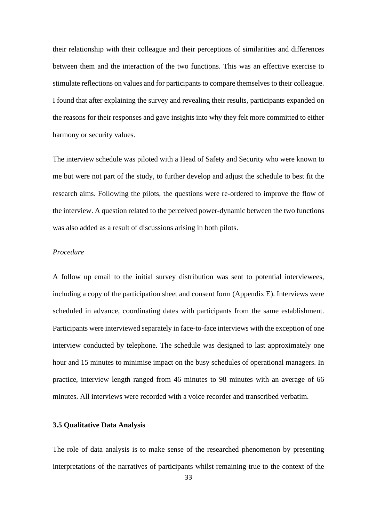their relationship with their colleague and their perceptions of similarities and differences between them and the interaction of the two functions. This was an effective exercise to stimulate reflections on values and for participants to compare themselves to their colleague. I found that after explaining the survey and revealing their results, participants expanded on the reasons for their responses and gave insights into why they felt more committed to either harmony or security values.

The interview schedule was piloted with a Head of Safety and Security who were known to me but were not part of the study, to further develop and adjust the schedule to best fit the research aims. Following the pilots, the questions were re-ordered to improve the flow of the interview. A question related to the perceived power-dynamic between the two functions was also added as a result of discussions arising in both pilots.

### *Procedure*

A follow up email to the initial survey distribution was sent to potential interviewees, including a copy of the participation sheet and consent form (Appendix E). Interviews were scheduled in advance, coordinating dates with participants from the same establishment. Participants were interviewed separately in face-to-face interviews with the exception of one interview conducted by telephone. The schedule was designed to last approximately one hour and 15 minutes to minimise impact on the busy schedules of operational managers. In practice, interview length ranged from 46 minutes to 98 minutes with an average of 66 minutes. All interviews were recorded with a voice recorder and transcribed verbatim.

### **3.5 Qualitative Data Analysis**

The role of data analysis is to make sense of the researched phenomenon by presenting interpretations of the narratives of participants whilst remaining true to the context of the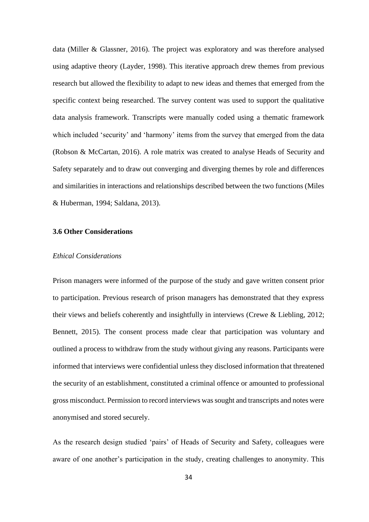data (Miller & Glassner, 2016). The project was exploratory and was therefore analysed using adaptive theory (Layder, 1998). This iterative approach drew themes from previous research but allowed the flexibility to adapt to new ideas and themes that emerged from the specific context being researched. The survey content was used to support the qualitative data analysis framework. Transcripts were manually coded using a thematic framework which included 'security' and 'harmony' items from the survey that emerged from the data (Robson & McCartan, 2016). A role matrix was created to analyse Heads of Security and Safety separately and to draw out converging and diverging themes by role and differences and similarities in interactions and relationships described between the two functions (Miles & Huberman, 1994; Saldana, 2013).

#### **3.6 Other Considerations**

#### *Ethical Considerations*

Prison managers were informed of the purpose of the study and gave written consent prior to participation. Previous research of prison managers has demonstrated that they express their views and beliefs coherently and insightfully in interviews (Crewe & Liebling, 2012; Bennett, 2015). The consent process made clear that participation was voluntary and outlined a process to withdraw from the study without giving any reasons. Participants were informed that interviews were confidential unless they disclosed information that threatened the security of an establishment, constituted a criminal offence or amounted to professional gross misconduct. Permission to record interviews was sought and transcripts and notes were anonymised and stored securely.

As the research design studied 'pairs' of Heads of Security and Safety, colleagues were aware of one another's participation in the study, creating challenges to anonymity. This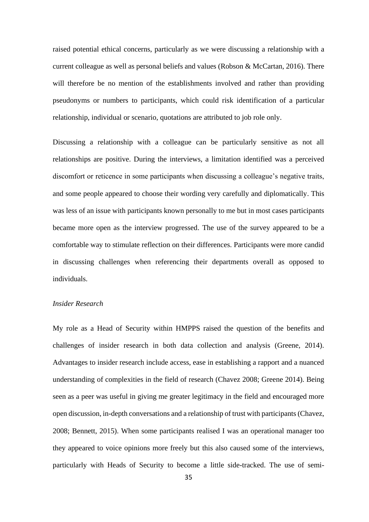raised potential ethical concerns, particularly as we were discussing a relationship with a current colleague as well as personal beliefs and values (Robson  $\&$  McCartan, 2016). There will therefore be no mention of the establishments involved and rather than providing pseudonyms or numbers to participants, which could risk identification of a particular relationship, individual or scenario, quotations are attributed to job role only.

Discussing a relationship with a colleague can be particularly sensitive as not all relationships are positive. During the interviews, a limitation identified was a perceived discomfort or reticence in some participants when discussing a colleague's negative traits, and some people appeared to choose their wording very carefully and diplomatically. This was less of an issue with participants known personally to me but in most cases participants became more open as the interview progressed. The use of the survey appeared to be a comfortable way to stimulate reflection on their differences. Participants were more candid in discussing challenges when referencing their departments overall as opposed to individuals.

#### *Insider Research*

My role as a Head of Security within HMPPS raised the question of the benefits and challenges of insider research in both data collection and analysis (Greene, 2014). Advantages to insider research include access, ease in establishing a rapport and a nuanced understanding of complexities in the field of research (Chavez 2008; Greene 2014). Being seen as a peer was useful in giving me greater legitimacy in the field and encouraged more open discussion, in-depth conversations and a relationship of trust with participants (Chavez, 2008; Bennett, 2015). When some participants realised I was an operational manager too they appeared to voice opinions more freely but this also caused some of the interviews, particularly with Heads of Security to become a little side-tracked. The use of semi-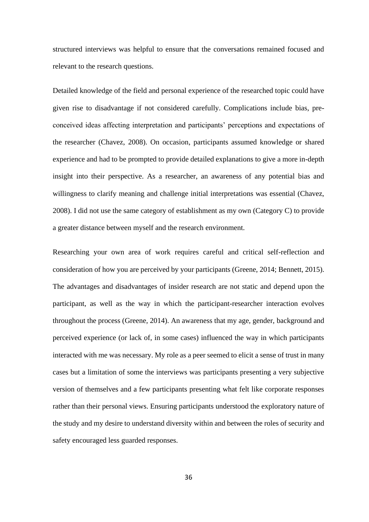structured interviews was helpful to ensure that the conversations remained focused and relevant to the research questions.

Detailed knowledge of the field and personal experience of the researched topic could have given rise to disadvantage if not considered carefully. Complications include bias, preconceived ideas affecting interpretation and participants' perceptions and expectations of the researcher (Chavez, 2008). On occasion, participants assumed knowledge or shared experience and had to be prompted to provide detailed explanations to give a more in-depth insight into their perspective. As a researcher, an awareness of any potential bias and willingness to clarify meaning and challenge initial interpretations was essential (Chavez, 2008). I did not use the same category of establishment as my own (Category C) to provide a greater distance between myself and the research environment.

Researching your own area of work requires careful and critical self-reflection and consideration of how you are perceived by your participants (Greene, 2014; Bennett, 2015). The advantages and disadvantages of insider research are not static and depend upon the participant, as well as the way in which the participant-researcher interaction evolves throughout the process (Greene, 2014). An awareness that my age, gender, background and perceived experience (or lack of, in some cases) influenced the way in which participants interacted with me was necessary. My role as a peer seemed to elicit a sense of trust in many cases but a limitation of some the interviews was participants presenting a very subjective version of themselves and a few participants presenting what felt like corporate responses rather than their personal views. Ensuring participants understood the exploratory nature of the study and my desire to understand diversity within and between the roles of security and safety encouraged less guarded responses.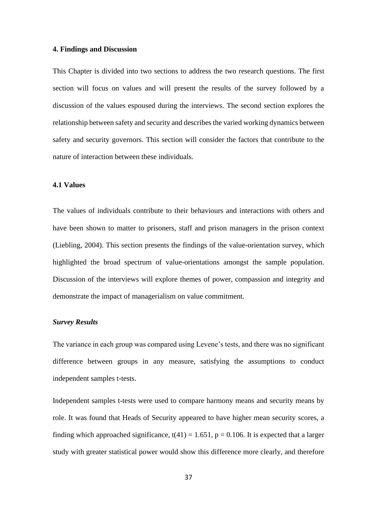#### **4. Findings and Discussion**

This Chapter is divided into two sections to address the two research questions. The first section will focus on values and will present the results of the survey followed by a discussion of the values espoused during the interviews. The second section explores the relationship between safety and security and describes the varied working dynamics between safety and security governors. This section will consider the factors that contribute to the nature of interaction between these individuals.

### **4.1 Values**

The values of individuals contribute to their behaviours and interactions with others and have been shown to matter to prisoners, staff and prison managers in the prison context (Liebling, 2004). This section presents the findings of the value-orientation survey, which highlighted the broad spectrum of value-orientations amongst the sample population. Discussion of the interviews will explore themes of power, compassion and integrity and demonstrate the impact of managerialism on value commitment.

### *Survey Results*

The variance in each group was compared using Levene's tests, and there was no significant difference between groups in any measure, satisfying the assumptions to conduct independent samples t-tests.

Independent samples t-tests were used to compare harmony means and security means by role. It was found that Heads of Security appeared to have higher mean security scores, a finding which approached significance,  $t(41) = 1.651$ ,  $p = 0.106$ . It is expected that a larger study with greater statistical power would show this difference more clearly, and therefore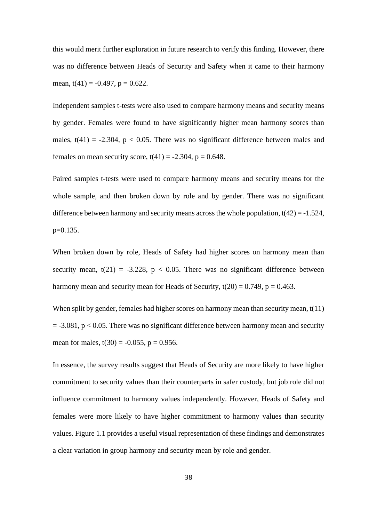this would merit further exploration in future research to verify this finding. However, there was no difference between Heads of Security and Safety when it came to their harmony mean,  $t(41) = -0.497$ ,  $p = 0.622$ .

Independent samples t-tests were also used to compare harmony means and security means by gender. Females were found to have significantly higher mean harmony scores than males,  $t(41) = -2.304$ ,  $p < 0.05$ . There was no significant difference between males and females on mean security score,  $t(41) = -2.304$ ,  $p = 0.648$ .

Paired samples t-tests were used to compare harmony means and security means for the whole sample, and then broken down by role and by gender. There was no significant difference between harmony and security means across the whole population,  $t(42) = -1.524$ , p=0.135.

When broken down by role, Heads of Safety had higher scores on harmony mean than security mean,  $t(21) = -3.228$ ,  $p < 0.05$ . There was no significant difference between harmony mean and security mean for Heads of Security,  $t(20) = 0.749$ ,  $p = 0.463$ .

When split by gender, females had higher scores on harmony mean than security mean, t(11)  $= -3.081$ ,  $p < 0.05$ . There was no significant difference between harmony mean and security mean for males,  $t(30) = -0.055$ ,  $p = 0.956$ .

In essence, the survey results suggest that Heads of Security are more likely to have higher commitment to security values than their counterparts in safer custody, but job role did not influence commitment to harmony values independently. However, Heads of Safety and females were more likely to have higher commitment to harmony values than security values. Figure 1.1 provides a useful visual representation of these findings and demonstrates a clear variation in group harmony and security mean by role and gender.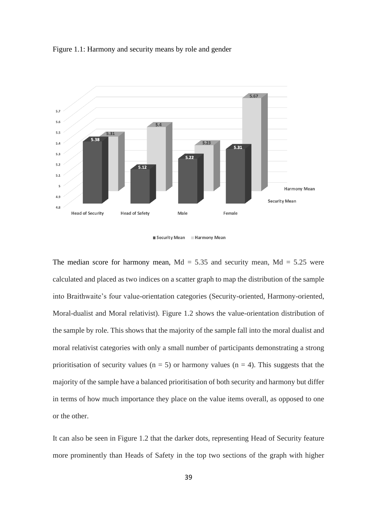Figure 1.1: Harmony and security means by role and gender



■ Security Mean ■ Harmony Mean

The median score for harmony mean,  $Md = 5.35$  and security mean,  $Md = 5.25$  were calculated and placed as two indices on a scatter graph to map the distribution of the sample into Braithwaite's four value-orientation categories (Security-oriented, Harmony-oriented, Moral-dualist and Moral relativist). Figure 1.2 shows the value-orientation distribution of the sample by role. This shows that the majority of the sample fall into the moral dualist and moral relativist categories with only a small number of participants demonstrating a strong prioritisation of security values ( $n = 5$ ) or harmony values ( $n = 4$ ). This suggests that the majority of the sample have a balanced prioritisation of both security and harmony but differ in terms of how much importance they place on the value items overall, as opposed to one or the other.

It can also be seen in Figure 1.2 that the darker dots, representing Head of Security feature more prominently than Heads of Safety in the top two sections of the graph with higher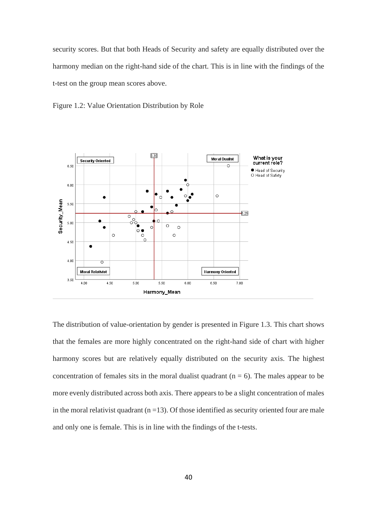security scores. But that both Heads of Security and safety are equally distributed over the harmony median on the right-hand side of the chart. This is in line with the findings of the t-test on the group mean scores above.





The distribution of value-orientation by gender is presented in Figure 1.3. This chart shows that the females are more highly concentrated on the right-hand side of chart with higher harmony scores but are relatively equally distributed on the security axis. The highest concentration of females sits in the moral dualist quadrant ( $n = 6$ ). The males appear to be more evenly distributed across both axis. There appears to be a slight concentration of males in the moral relativist quadrant  $(n = 13)$ . Of those identified as security oriented four are male and only one is female. This is in line with the findings of the t-tests.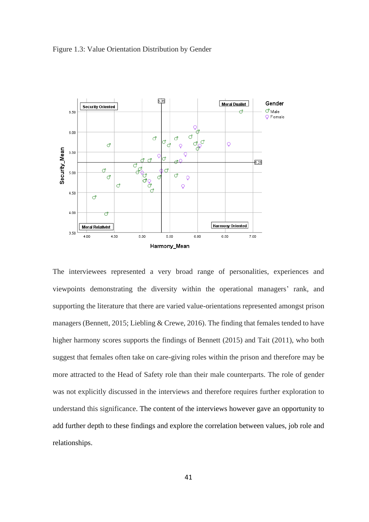Figure 1.3: Value Orientation Distribution by Gender



The interviewees represented a very broad range of personalities, experiences and viewpoints demonstrating the diversity within the operational managers' rank, and supporting the literature that there are varied value-orientations represented amongst prison managers (Bennett, 2015; Liebling & Crewe, 2016). The finding that females tended to have higher harmony scores supports the findings of Bennett (2015) and Tait (2011), who both suggest that females often take on care-giving roles within the prison and therefore may be more attracted to the Head of Safety role than their male counterparts. The role of gender was not explicitly discussed in the interviews and therefore requires further exploration to understand this significance. The content of the interviews however gave an opportunity to add further depth to these findings and explore the correlation between values, job role and relationships.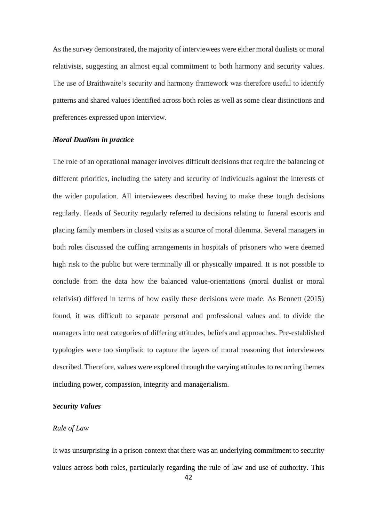As the survey demonstrated, the majority of interviewees were either moral dualists or moral relativists, suggesting an almost equal commitment to both harmony and security values. The use of Braithwaite's security and harmony framework was therefore useful to identify patterns and shared values identified across both roles as well as some clear distinctions and preferences expressed upon interview.

## *Moral Dualism in practice*

The role of an operational manager involves difficult decisions that require the balancing of different priorities, including the safety and security of individuals against the interests of the wider population. All interviewees described having to make these tough decisions regularly. Heads of Security regularly referred to decisions relating to funeral escorts and placing family members in closed visits as a source of moral dilemma. Several managers in both roles discussed the cuffing arrangements in hospitals of prisoners who were deemed high risk to the public but were terminally ill or physically impaired. It is not possible to conclude from the data how the balanced value-orientations (moral dualist or moral relativist) differed in terms of how easily these decisions were made. As Bennett (2015) found, it was difficult to separate personal and professional values and to divide the managers into neat categories of differing attitudes, beliefs and approaches. Pre-established typologies were too simplistic to capture the layers of moral reasoning that interviewees described. Therefore, values were explored through the varying attitudes to recurring themes including power, compassion, integrity and managerialism.

### *Security Values*

### *Rule of Law*

It was unsurprising in a prison context that there was an underlying commitment to security values across both roles, particularly regarding the rule of law and use of authority. This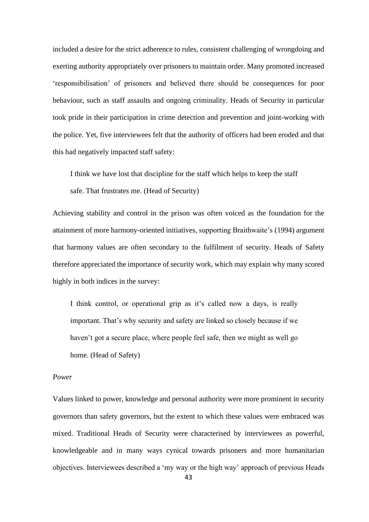included a desire for the strict adherence to rules, consistent challenging of wrongdoing and exerting authority appropriately over prisoners to maintain order. Many promoted increased 'responsibilisation' of prisoners and believed there should be consequences for poor behaviour, such as staff assaults and ongoing criminality. Heads of Security in particular took pride in their participation in crime detection and prevention and joint-working with the police. Yet, five interviewees felt that the authority of officers had been eroded and that this had negatively impacted staff safety:

I think we have lost that discipline for the staff which helps to keep the staff

safe. That frustrates me. (Head of Security)

Achieving stability and control in the prison was often voiced as the foundation for the attainment of more harmony-oriented initiatives, supporting Braithwaite's (1994) argument that harmony values are often secondary to the fulfilment of security. Heads of Safety therefore appreciated the importance of security work, which may explain why many scored highly in both indices in the survey:

I think control, or operational grip as it's called now a days, is really important. That's why security and safety are linked so closely because if we haven't got a secure place, where people feel safe, then we might as well go home. (Head of Safety)

### *Power*

Values linked to power, knowledge and personal authority were more prominent in security governors than safety governors, but the extent to which these values were embraced was mixed. Traditional Heads of Security were characterised by interviewees as powerful, knowledgeable and in many ways cynical towards prisoners and more humanitarian objectives. Interviewees described a 'my way or the high way' approach of previous Heads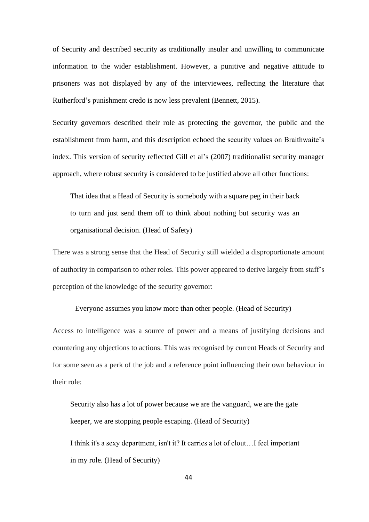of Security and described security as traditionally insular and unwilling to communicate information to the wider establishment. However, a punitive and negative attitude to prisoners was not displayed by any of the interviewees, reflecting the literature that Rutherford's punishment credo is now less prevalent (Bennett, 2015).

Security governors described their role as protecting the governor, the public and the establishment from harm, and this description echoed the security values on Braithwaite's index. This version of security reflected Gill et al's (2007) traditionalist security manager approach, where robust security is considered to be justified above all other functions:

That idea that a Head of Security is somebody with a square peg in their back to turn and just send them off to think about nothing but security was an organisational decision. (Head of Safety)

There was a strong sense that the Head of Security still wielded a disproportionate amount of authority in comparison to other roles. This power appeared to derive largely from staff's perception of the knowledge of the security governor:

Everyone assumes you know more than other people. (Head of Security)

Access to intelligence was a source of power and a means of justifying decisions and countering any objections to actions. This was recognised by current Heads of Security and for some seen as a perk of the job and a reference point influencing their own behaviour in their role:

Security also has a lot of power because we are the vanguard, we are the gate keeper, we are stopping people escaping. (Head of Security)

I think it's a sexy department, isn't it? It carries a lot of clout…I feel important in my role. (Head of Security)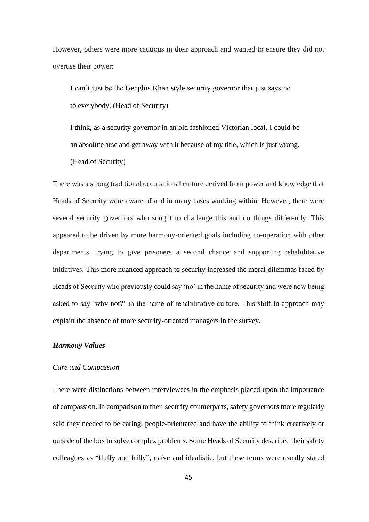However, others were more cautious in their approach and wanted to ensure they did not overuse their power:

I can't just be the Genghis Khan style security governor that just says no to everybody. (Head of Security)

I think, as a security governor in an old fashioned Victorian local, I could be an absolute arse and get away with it because of my title, which is just wrong. (Head of Security)

There was a strong traditional occupational culture derived from power and knowledge that Heads of Security were aware of and in many cases working within. However, there were several security governors who sought to challenge this and do things differently. This appeared to be driven by more harmony-oriented goals including co-operation with other departments, trying to give prisoners a second chance and supporting rehabilitative initiatives. This more nuanced approach to security increased the moral dilemmas faced by Heads of Security who previously could say 'no' in the name of security and were now being asked to say 'why not?' in the name of rehabilitative culture. This shift in approach may explain the absence of more security-oriented managers in the survey.

### *Harmony Values*

# *Care and Compassion*

There were distinctions between interviewees in the emphasis placed upon the importance of compassion. In comparison to their security counterparts, safety governors more regularly said they needed to be caring, people-orientated and have the ability to think creatively or outside of the box to solve complex problems. Some Heads of Security described their safety colleagues as "fluffy and frilly", naïve and idealistic, but these terms were usually stated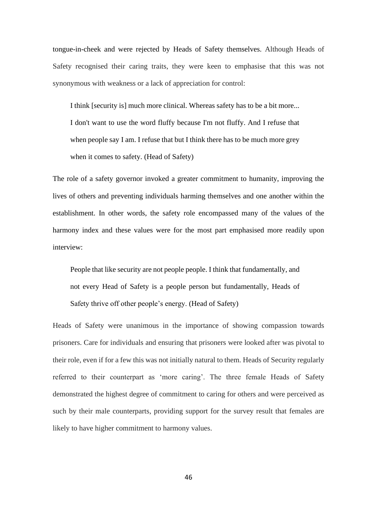tongue-in-cheek and were rejected by Heads of Safety themselves. Although Heads of Safety recognised their caring traits, they were keen to emphasise that this was not synonymous with weakness or a lack of appreciation for control:

I think [security is] much more clinical. Whereas safety has to be a bit more... I don't want to use the word fluffy because I'm not fluffy. And I refuse that when people say I am. I refuse that but I think there has to be much more grey when it comes to safety. (Head of Safety)

The role of a safety governor invoked a greater commitment to humanity, improving the lives of others and preventing individuals harming themselves and one another within the establishment. In other words, the safety role encompassed many of the values of the harmony index and these values were for the most part emphasised more readily upon interview:

People that like security are not people people. I think that fundamentally, and not every Head of Safety is a people person but fundamentally, Heads of Safety thrive off other people's energy. (Head of Safety)

Heads of Safety were unanimous in the importance of showing compassion towards prisoners. Care for individuals and ensuring that prisoners were looked after was pivotal to their role, even if for a few this was not initially natural to them. Heads of Security regularly referred to their counterpart as 'more caring'. The three female Heads of Safety demonstrated the highest degree of commitment to caring for others and were perceived as such by their male counterparts, providing support for the survey result that females are likely to have higher commitment to harmony values.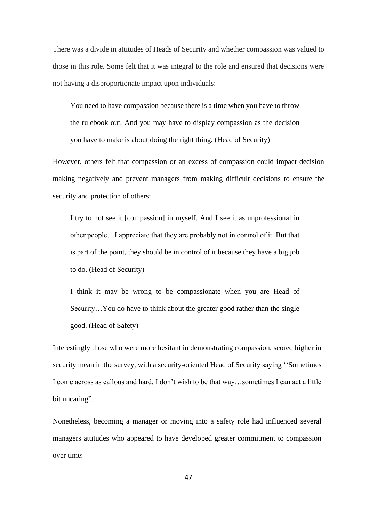There was a divide in attitudes of Heads of Security and whether compassion was valued to those in this role. Some felt that it was integral to the role and ensured that decisions were not having a disproportionate impact upon individuals:

You need to have compassion because there is a time when you have to throw the rulebook out. And you may have to display compassion as the decision you have to make is about doing the right thing. (Head of Security)

However, others felt that compassion or an excess of compassion could impact decision making negatively and prevent managers from making difficult decisions to ensure the security and protection of others:

I try to not see it [compassion] in myself. And I see it as unprofessional in other people…I appreciate that they are probably not in control of it. But that is part of the point, they should be in control of it because they have a big job to do. (Head of Security)

I think it may be wrong to be compassionate when you are Head of Security…You do have to think about the greater good rather than the single good. (Head of Safety)

Interestingly those who were more hesitant in demonstrating compassion, scored higher in security mean in the survey, with a security-oriented Head of Security saying ''Sometimes I come across as callous and hard. I don't wish to be that way…sometimes I can act a little bit uncaring".

Nonetheless, becoming a manager or moving into a safety role had influenced several managers attitudes who appeared to have developed greater commitment to compassion over time: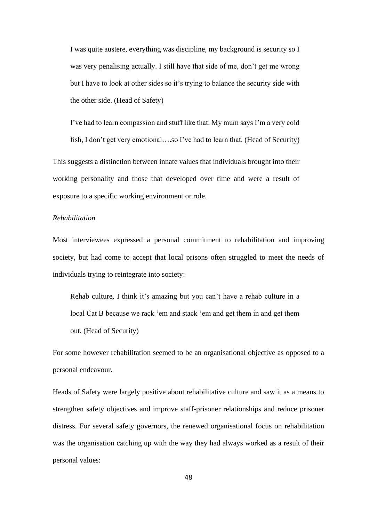I was quite austere, everything was discipline, my background is security so I was very penalising actually. I still have that side of me, don't get me wrong but I have to look at other sides so it's trying to balance the security side with the other side. (Head of Safety)

I've had to learn compassion and stuff like that. My mum says I'm a very cold fish, I don't get very emotional….so I've had to learn that. (Head of Security)

This suggests a distinction between innate values that individuals brought into their working personality and those that developed over time and were a result of exposure to a specific working environment or role.

### *Rehabilitation*

Most interviewees expressed a personal commitment to rehabilitation and improving society, but had come to accept that local prisons often struggled to meet the needs of individuals trying to reintegrate into society:

Rehab culture, I think it's amazing but you can't have a rehab culture in a local Cat B because we rack 'em and stack 'em and get them in and get them out. (Head of Security)

For some however rehabilitation seemed to be an organisational objective as opposed to a personal endeavour.

Heads of Safety were largely positive about rehabilitative culture and saw it as a means to strengthen safety objectives and improve staff-prisoner relationships and reduce prisoner distress. For several safety governors, the renewed organisational focus on rehabilitation was the organisation catching up with the way they had always worked as a result of their personal values: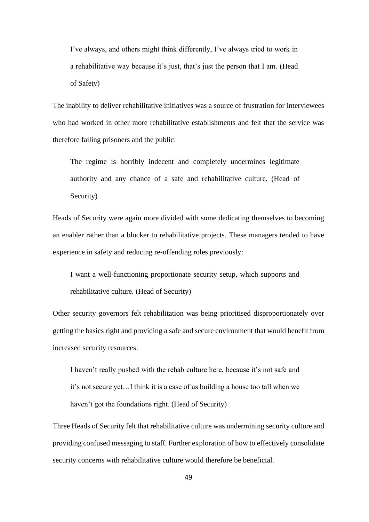I've always, and others might think differently, I've always tried to work in a rehabilitative way because it's just, that's just the person that I am. (Head of Safety)

The inability to deliver rehabilitative initiatives was a source of frustration for interviewees who had worked in other more rehabilitative establishments and felt that the service was therefore failing prisoners and the public:

The regime is horribly indecent and completely undermines legitimate authority and any chance of a safe and rehabilitative culture. (Head of Security)

Heads of Security were again more divided with some dedicating themselves to becoming an enabler rather than a blocker to rehabilitative projects. These managers tended to have experience in safety and reducing re-offending roles previously:

I want a well-functioning proportionate security setup, which supports and rehabilitative culture. (Head of Security)

Other security governors felt rehabilitation was being prioritised disproportionately over getting the basics right and providing a safe and secure environment that would benefit from increased security resources:

I haven't really pushed with the rehab culture here, because it's not safe and it's not secure yet…I think it is a case of us building a house too tall when we haven't got the foundations right. (Head of Security)

Three Heads of Security felt that rehabilitative culture was undermining security culture and providing confused messaging to staff. Further exploration of how to effectively consolidate security concerns with rehabilitative culture would therefore be beneficial.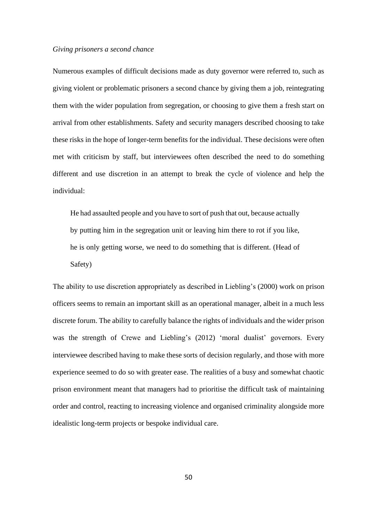#### *Giving prisoners a second chance*

Numerous examples of difficult decisions made as duty governor were referred to, such as giving violent or problematic prisoners a second chance by giving them a job, reintegrating them with the wider population from segregation, or choosing to give them a fresh start on arrival from other establishments. Safety and security managers described choosing to take these risks in the hope of longer-term benefits for the individual. These decisions were often met with criticism by staff, but interviewees often described the need to do something different and use discretion in an attempt to break the cycle of violence and help the individual:

He had assaulted people and you have to sort of push that out, because actually by putting him in the segregation unit or leaving him there to rot if you like, he is only getting worse, we need to do something that is different. (Head of Safety)

The ability to use discretion appropriately as described in Liebling's (2000) work on prison officers seems to remain an important skill as an operational manager, albeit in a much less discrete forum. The ability to carefully balance the rights of individuals and the wider prison was the strength of Crewe and Liebling's (2012) 'moral dualist' governors. Every interviewee described having to make these sorts of decision regularly, and those with more experience seemed to do so with greater ease. The realities of a busy and somewhat chaotic prison environment meant that managers had to prioritise the difficult task of maintaining order and control, reacting to increasing violence and organised criminality alongside more idealistic long-term projects or bespoke individual care.

50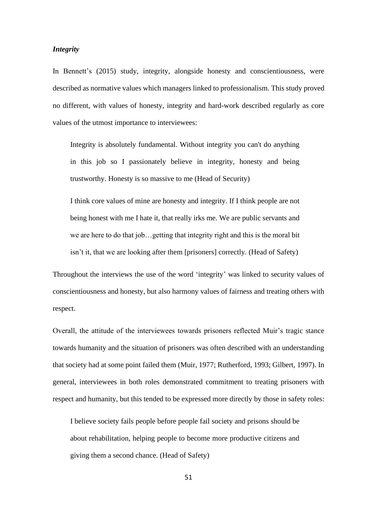### *Integrity*

In Bennett's (2015) study, integrity, alongside honesty and conscientiousness, were described as normative values which managers linked to professionalism. This study proved no different, with values of honesty, integrity and hard-work described regularly as core values of the utmost importance to interviewees:

Integrity is absolutely fundamental. Without integrity you can't do anything in this job so I passionately believe in integrity, honesty and being trustworthy. Honesty is so massive to me (Head of Security)

I think core values of mine are honesty and integrity. If I think people are not being honest with me I hate it, that really irks me. We are public servants and we are here to do that job…getting that integrity right and this is the moral bit isn't it, that we are looking after them [prisoners] correctly. (Head of Safety)

Throughout the interviews the use of the word 'integrity' was linked to security values of conscientiousness and honesty, but also harmony values of fairness and treating others with respect.

Overall, the attitude of the interviewees towards prisoners reflected Muir's tragic stance towards humanity and the situation of prisoners was often described with an understanding that society had at some point failed them (Muir, 1977; Rutherford, 1993; Gilbert, 1997). In general, interviewees in both roles demonstrated commitment to treating prisoners with respect and humanity, but this tended to be expressed more directly by those in safety roles:

I believe society fails people before people fail society and prisons should be about rehabilitation, helping people to become more productive citizens and giving them a second chance. (Head of Safety)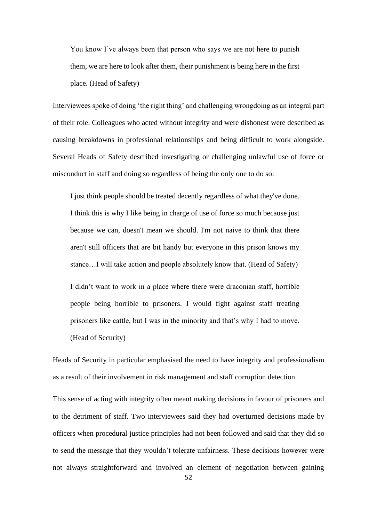You know I've always been that person who says we are not here to punish them, we are here to look after them, their punishment is being here in the first place. (Head of Safety)

Interviewees spoke of doing 'the right thing' and challenging wrongdoing as an integral part of their role. Colleagues who acted without integrity and were dishonest were described as causing breakdowns in professional relationships and being difficult to work alongside. Several Heads of Safety described investigating or challenging unlawful use of force or misconduct in staff and doing so regardless of being the only one to do so:

I just think people should be treated decently regardless of what they've done. I think this is why I like being in charge of use of force so much because just because we can, doesn't mean we should. I'm not naive to think that there aren't still officers that are bit handy but everyone in this prison knows my stance…I will take action and people absolutely know that. (Head of Safety)

I didn't want to work in a place where there were draconian staff, horrible people being horrible to prisoners. I would fight against staff treating prisoners like cattle, but I was in the minority and that's why I had to move. (Head of Security)

Heads of Security in particular emphasised the need to have integrity and professionalism as a result of their involvement in risk management and staff corruption detection.

This sense of acting with integrity often meant making decisions in favour of prisoners and to the detriment of staff. Two interviewees said they had overturned decisions made by officers when procedural justice principles had not been followed and said that they did so to send the message that they wouldn't tolerate unfairness. These decisions however were not always straightforward and involved an element of negotiation between gaining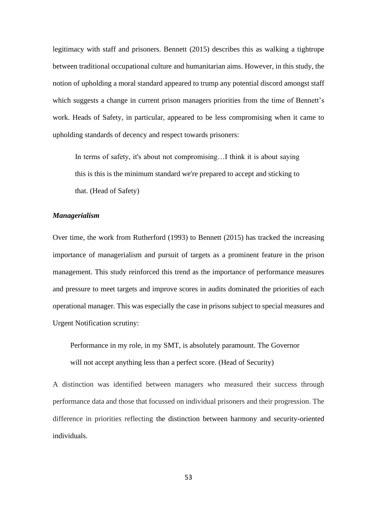legitimacy with staff and prisoners. Bennett (2015) describes this as walking a tightrope between traditional occupational culture and humanitarian aims. However, in this study, the notion of upholding a moral standard appeared to trump any potential discord amongst staff which suggests a change in current prison managers priorities from the time of Bennett's work. Heads of Safety, in particular, appeared to be less compromising when it came to upholding standards of decency and respect towards prisoners:

In terms of safety, it's about not compromising...I think it is about saying this is this is the minimum standard we're prepared to accept and sticking to that. (Head of Safety)

# *Managerialism*

Over time, the work from Rutherford (1993) to Bennett (2015) has tracked the increasing importance of managerialism and pursuit of targets as a prominent feature in the prison management. This study reinforced this trend as the importance of performance measures and pressure to meet targets and improve scores in audits dominated the priorities of each operational manager. This was especially the case in prisons subject to special measures and Urgent Notification scrutiny:

Performance in my role, in my SMT, is absolutely paramount. The Governor will not accept anything less than a perfect score. (Head of Security)

A distinction was identified between managers who measured their success through performance data and those that focussed on individual prisoners and their progression. The difference in priorities reflecting the distinction between harmony and security-oriented individuals.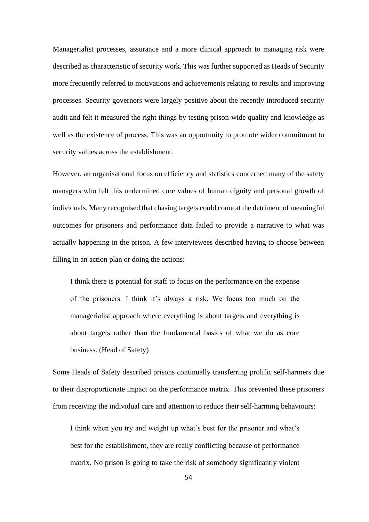Managerialist processes, assurance and a more clinical approach to managing risk were described as characteristic of security work. This was further supported as Heads of Security more frequently referred to motivations and achievements relating to results and improving processes. Security governors were largely positive about the recently introduced security audit and felt it measured the right things by testing prison-wide quality and knowledge as well as the existence of process. This was an opportunity to promote wider commitment to security values across the establishment.

However, an organisational focus on efficiency and statistics concerned many of the safety managers who felt this undermined core values of human dignity and personal growth of individuals. Many recognised that chasing targets could come at the detriment of meaningful outcomes for prisoners and performance data failed to provide a narrative to what was actually happening in the prison. A few interviewees described having to choose between filling in an action plan or doing the actions:

I think there is potential for staff to focus on the performance on the expense of the prisoners. I think it's always a risk. We focus too much on the managerialist approach where everything is about targets and everything is about targets rather than the fundamental basics of what we do as core business. (Head of Safety)

Some Heads of Safety described prisons continually transferring prolific self-harmers due to their disproportionate impact on the performance matrix. This prevented these prisoners from receiving the individual care and attention to reduce their self-harming behaviours:

I think when you try and weight up what's best for the prisoner and what's best for the establishment, they are really conflicting because of performance matrix. No prison is going to take the risk of somebody significantly violent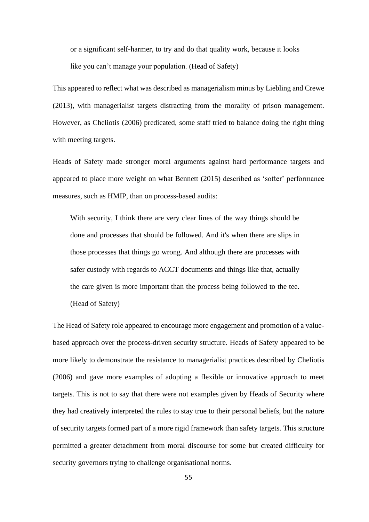or a significant self-harmer, to try and do that quality work, because it looks like you can't manage your population. (Head of Safety)

This appeared to reflect what was described as managerialism minus by Liebling and Crewe (2013), with managerialist targets distracting from the morality of prison management. However, as Cheliotis (2006) predicated, some staff tried to balance doing the right thing with meeting targets.

Heads of Safety made stronger moral arguments against hard performance targets and appeared to place more weight on what Bennett (2015) described as 'softer' performance measures, such as HMIP, than on process-based audits:

With security, I think there are very clear lines of the way things should be done and processes that should be followed. And it's when there are slips in those processes that things go wrong. And although there are processes with safer custody with regards to ACCT documents and things like that, actually the care given is more important than the process being followed to the tee. (Head of Safety)

The Head of Safety role appeared to encourage more engagement and promotion of a valuebased approach over the process-driven security structure. Heads of Safety appeared to be more likely to demonstrate the resistance to managerialist practices described by Cheliotis (2006) and gave more examples of adopting a flexible or innovative approach to meet targets. This is not to say that there were not examples given by Heads of Security where they had creatively interpreted the rules to stay true to their personal beliefs, but the nature of security targets formed part of a more rigid framework than safety targets. This structure permitted a greater detachment from moral discourse for some but created difficulty for security governors trying to challenge organisational norms.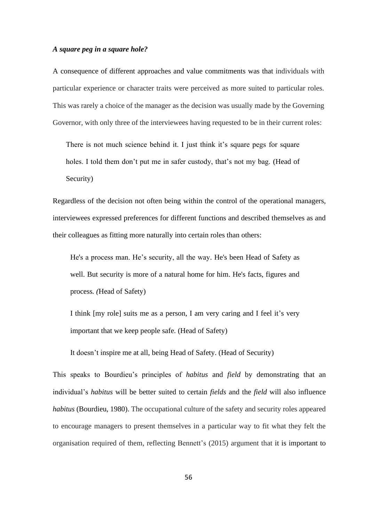### *A square peg in a square hole?*

A consequence of different approaches and value commitments was that individuals with particular experience or character traits were perceived as more suited to particular roles. This was rarely a choice of the manager as the decision was usually made by the Governing Governor, with only three of the interviewees having requested to be in their current roles:

There is not much science behind it. I just think it's square pegs for square holes. I told them don't put me in safer custody, that's not my bag. (Head of Security)

Regardless of the decision not often being within the control of the operational managers, interviewees expressed preferences for different functions and described themselves as and their colleagues as fitting more naturally into certain roles than others:

He's a process man. He's security, all the way. He's been Head of Safety as well. But security is more of a natural home for him. He's facts, figures and process*. (*Head of Safety)

I think [my role] suits me as a person, I am very caring and I feel it's very important that we keep people safe. (Head of Safety)

It doesn't inspire me at all, being Head of Safety. (Head of Security)

This speaks to Bourdieu's principles of *habitus* and *field* by demonstrating that an individual's *habitus* will be better suited to certain *fields* and the *field* will also influence *habitus* (Bourdieu, 1980). The occupational culture of the safety and security roles appeared to encourage managers to present themselves in a particular way to fit what they felt the organisation required of them, reflecting Bennett's (2015) argument that it is important to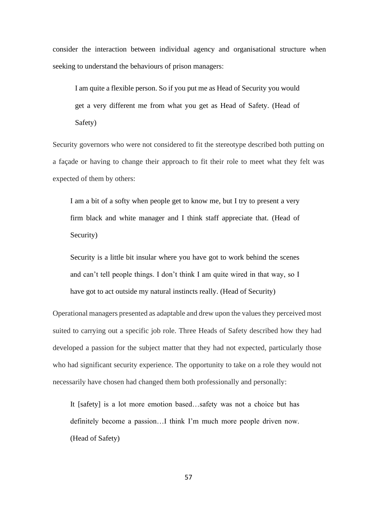consider the interaction between individual agency and organisational structure when seeking to understand the behaviours of prison managers:

I am quite a flexible person. So if you put me as Head of Security you would get a very different me from what you get as Head of Safety. (Head of Safety)

Security governors who were not considered to fit the stereotype described both putting on a façade or having to change their approach to fit their role to meet what they felt was expected of them by others:

I am a bit of a softy when people get to know me, but I try to present a very firm black and white manager and I think staff appreciate that. (Head of Security)

Security is a little bit insular where you have got to work behind the scenes and can't tell people things. I don't think I am quite wired in that way, so I have got to act outside my natural instincts really. (Head of Security)

Operational managers presented as adaptable and drew upon the values they perceived most suited to carrying out a specific job role. Three Heads of Safety described how they had developed a passion for the subject matter that they had not expected, particularly those who had significant security experience. The opportunity to take on a role they would not necessarily have chosen had changed them both professionally and personally:

It [safety] is a lot more emotion based…safety was not a choice but has definitely become a passion…I think I'm much more people driven now. (Head of Safety)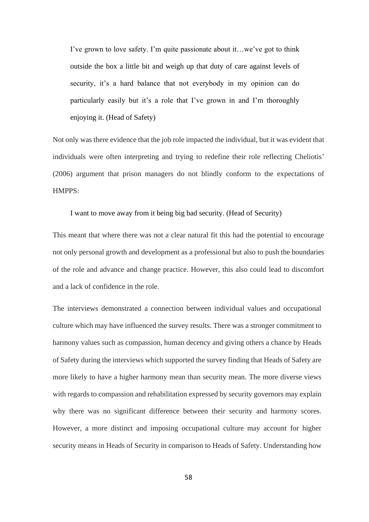I've grown to love safety. I'm quite passionate about it…we've got to think outside the box a little bit and weigh up that duty of care against levels of security, it's a hard balance that not everybody in my opinion can do particularly easily but it's a role that I've grown in and I'm thoroughly enjoying it. (Head of Safety)

Not only was there evidence that the job role impacted the individual, but it was evident that individuals were often interpreting and trying to redefine their role reflecting Cheliotis' (2006) argument that prison managers do not blindly conform to the expectations of HMPPS:

I want to move away from it being big bad security. (Head of Security)

This meant that where there was not a clear natural fit this had the potential to encourage not only personal growth and development as a professional but also to push the boundaries of the role and advance and change practice. However, this also could lead to discomfort and a lack of confidence in the role.

The interviews demonstrated a connection between individual values and occupational culture which may have influenced the survey results. There was a stronger commitment to harmony values such as compassion, human decency and giving others a chance by Heads of Safety during the interviews which supported the survey finding that Heads of Safety are more likely to have a higher harmony mean than security mean. The more diverse views with regards to compassion and rehabilitation expressed by security governors may explain why there was no significant difference between their security and harmony scores. However, a more distinct and imposing occupational culture may account for higher security means in Heads of Security in comparison to Heads of Safety. Understanding how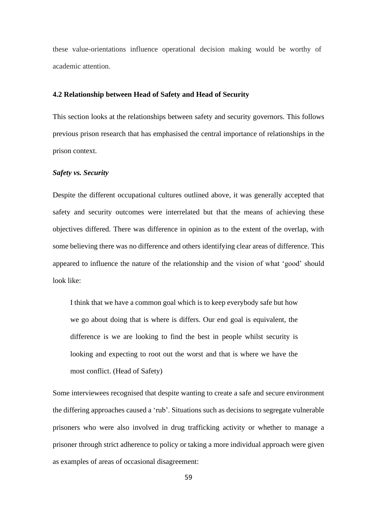these value-orientations influence operational decision making would be worthy of academic attention.

# **4.2 Relationship between Head of Safety and Head of Security**

This section looks at the relationships between safety and security governors. This follows previous prison research that has emphasised the central importance of relationships in the prison context.

# *Safety vs. Security*

Despite the different occupational cultures outlined above, it was generally accepted that safety and security outcomes were interrelated but that the means of achieving these objectives differed. There was difference in opinion as to the extent of the overlap, with some believing there was no difference and others identifying clear areas of difference. This appeared to influence the nature of the relationship and the vision of what 'good' should look like:

I think that we have a common goal which is to keep everybody safe but how we go about doing that is where is differs. Our end goal is equivalent, the difference is we are looking to find the best in people whilst security is looking and expecting to root out the worst and that is where we have the most conflict. (Head of Safety)

Some interviewees recognised that despite wanting to create a safe and secure environment the differing approaches caused a 'rub'. Situations such as decisions to segregate vulnerable prisoners who were also involved in drug trafficking activity or whether to manage a prisoner through strict adherence to policy or taking a more individual approach were given as examples of areas of occasional disagreement: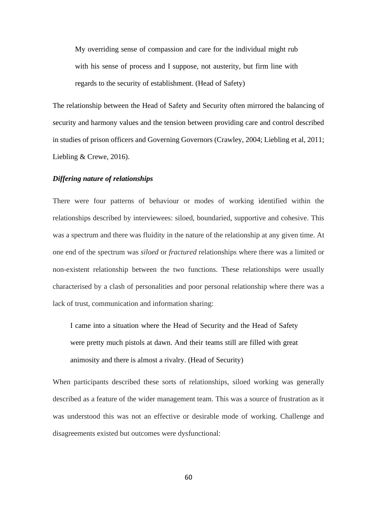My overriding sense of compassion and care for the individual might rub with his sense of process and I suppose, not austerity, but firm line with regards to the security of establishment. (Head of Safety)

The relationship between the Head of Safety and Security often mirrored the balancing of security and harmony values and the tension between providing care and control described in studies of prison officers and Governing Governors (Crawley, 2004; Liebling et al, 2011; Liebling & Crewe, 2016).

### *Differing nature of relationships*

There were four patterns of behaviour or modes of working identified within the relationships described by interviewees: siloed, boundaried, supportive and cohesive. This was a spectrum and there was fluidity in the nature of the relationship at any given time. At one end of the spectrum was *siloed* or *fractured* relationships where there was a limited or non-existent relationship between the two functions. These relationships were usually characterised by a clash of personalities and poor personal relationship where there was a lack of trust, communication and information sharing:

I came into a situation where the Head of Security and the Head of Safety were pretty much pistols at dawn. And their teams still are filled with great animosity and there is almost a rivalry. (Head of Security)

When participants described these sorts of relationships, siloed working was generally described as a feature of the wider management team. This was a source of frustration as it was understood this was not an effective or desirable mode of working. Challenge and disagreements existed but outcomes were dysfunctional: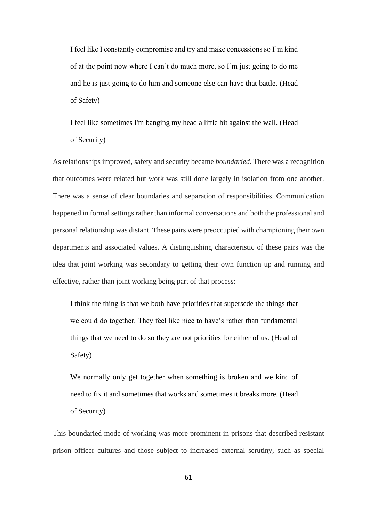I feel like I constantly compromise and try and make concessions so I'm kind of at the point now where I can't do much more, so I'm just going to do me and he is just going to do him and someone else can have that battle. (Head of Safety)

I feel like sometimes I'm banging my head a little bit against the wall. (Head of Security)

As relationships improved, safety and security became *boundaried.* There was a recognition that outcomes were related but work was still done largely in isolation from one another. There was a sense of clear boundaries and separation of responsibilities. Communication happened in formal settings rather than informal conversations and both the professional and personal relationship was distant. These pairs were preoccupied with championing their own departments and associated values. A distinguishing characteristic of these pairs was the idea that joint working was secondary to getting their own function up and running and effective, rather than joint working being part of that process:

I think the thing is that we both have priorities that supersede the things that we could do together. They feel like nice to have's rather than fundamental things that we need to do so they are not priorities for either of us. (Head of Safety)

We normally only get together when something is broken and we kind of need to fix it and sometimes that works and sometimes it breaks more. (Head of Security)

This boundaried mode of working was more prominent in prisons that described resistant prison officer cultures and those subject to increased external scrutiny, such as special

61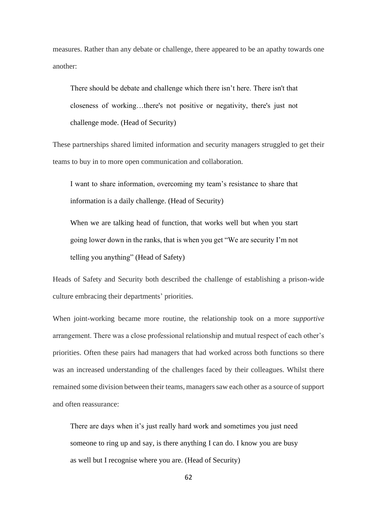measures. Rather than any debate or challenge, there appeared to be an apathy towards one another:

There should be debate and challenge which there isn't here. There isn't that closeness of working…there's not positive or negativity, there's just not challenge mode. (Head of Security)

These partnerships shared limited information and security managers struggled to get their teams to buy in to more open communication and collaboration.

I want to share information, overcoming my team's resistance to share that information is a daily challenge. (Head of Security)

When we are talking head of function, that works well but when you start going lower down in the ranks, that is when you get "We are security I'm not telling you anything" (Head of Safety)

Heads of Safety and Security both described the challenge of establishing a prison-wide culture embracing their departments' priorities.

When joint-working became more routine, the relationship took on a more *supportive*  arrangement. There was a close professional relationship and mutual respect of each other's priorities. Often these pairs had managers that had worked across both functions so there was an increased understanding of the challenges faced by their colleagues. Whilst there remained some division between their teams, managers saw each other as a source of support and often reassurance:

There are days when it's just really hard work and sometimes you just need someone to ring up and say, is there anything I can do. I know you are busy as well but I recognise where you are. (Head of Security)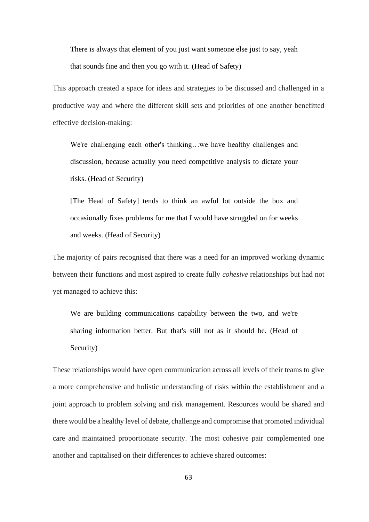There is always that element of you just want someone else just to say, yeah that sounds fine and then you go with it. (Head of Safety)

This approach created a space for ideas and strategies to be discussed and challenged in a productive way and where the different skill sets and priorities of one another benefitted effective decision-making:

We're challenging each other's thinking…we have healthy challenges and discussion, because actually you need competitive analysis to dictate your risks. (Head of Security)

[The Head of Safety] tends to think an awful lot outside the box and occasionally fixes problems for me that I would have struggled on for weeks and weeks. (Head of Security)

The majority of pairs recognised that there was a need for an improved working dynamic between their functions and most aspired to create fully *cohesive* relationships but had not yet managed to achieve this:

We are building communications capability between the two, and we're sharing information better. But that's still not as it should be. (Head of Security)

These relationships would have open communication across all levels of their teams to give a more comprehensive and holistic understanding of risks within the establishment and a joint approach to problem solving and risk management. Resources would be shared and there would be a healthy level of debate, challenge and compromise that promoted individual care and maintained proportionate security. The most cohesive pair complemented one another and capitalised on their differences to achieve shared outcomes: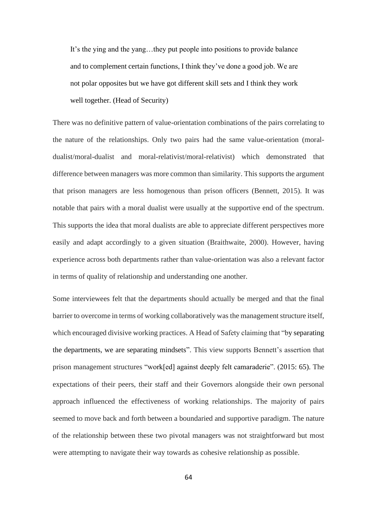It's the ying and the yang…they put people into positions to provide balance and to complement certain functions, I think they've done a good job. We are not polar opposites but we have got different skill sets and I think they work well together. (Head of Security)

There was no definitive pattern of value-orientation combinations of the pairs correlating to the nature of the relationships. Only two pairs had the same value-orientation (moraldualist/moral-dualist and moral-relativist/moral-relativist) which demonstrated that difference between managers was more common than similarity. This supports the argument that prison managers are less homogenous than prison officers (Bennett, 2015). It was notable that pairs with a moral dualist were usually at the supportive end of the spectrum. This supports the idea that moral dualists are able to appreciate different perspectives more easily and adapt accordingly to a given situation (Braithwaite, 2000). However, having experience across both departments rather than value-orientation was also a relevant factor in terms of quality of relationship and understanding one another.

Some interviewees felt that the departments should actually be merged and that the final barrier to overcome in terms of working collaboratively was the management structure itself, which encouraged divisive working practices. A Head of Safety claiming that "by separating the departments, we are separating mindsets". This view supports Bennett's assertion that prison management structures "work[ed] against deeply felt camaraderie". (2015: 65). The expectations of their peers, their staff and their Governors alongside their own personal approach influenced the effectiveness of working relationships. The majority of pairs seemed to move back and forth between a boundaried and supportive paradigm. The nature of the relationship between these two pivotal managers was not straightforward but most were attempting to navigate their way towards as cohesive relationship as possible.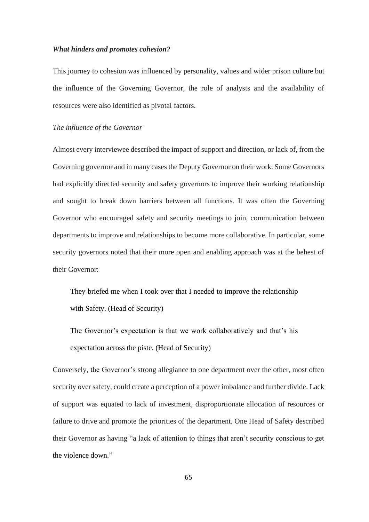#### *What hinders and promotes cohesion?*

This journey to cohesion was influenced by personality, values and wider prison culture but the influence of the Governing Governor, the role of analysts and the availability of resources were also identified as pivotal factors.

### *The influence of the Governor*

Almost every interviewee described the impact of support and direction, or lack of, from the Governing governor and in many cases the Deputy Governor on their work. Some Governors had explicitly directed security and safety governors to improve their working relationship and sought to break down barriers between all functions. It was often the Governing Governor who encouraged safety and security meetings to join, communication between departments to improve and relationships to become more collaborative. In particular, some security governors noted that their more open and enabling approach was at the behest of their Governor:

They briefed me when I took over that I needed to improve the relationship with Safety. (Head of Security)

The Governor's expectation is that we work collaboratively and that's his expectation across the piste. (Head of Security)

Conversely, the Governor's strong allegiance to one department over the other, most often security over safety, could create a perception of a power imbalance and further divide. Lack of support was equated to lack of investment, disproportionate allocation of resources or failure to drive and promote the priorities of the department. One Head of Safety described their Governor as having "a lack of attention to things that aren't security conscious to get the violence down."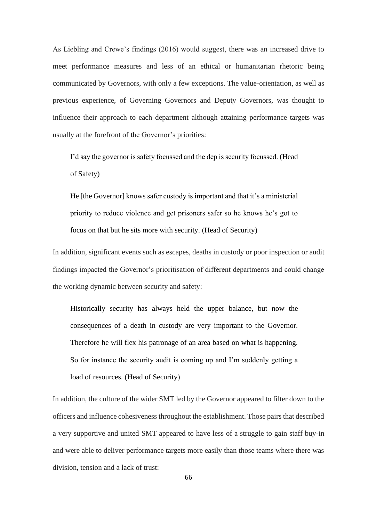As Liebling and Crewe's findings (2016) would suggest, there was an increased drive to meet performance measures and less of an ethical or humanitarian rhetoric being communicated by Governors, with only a few exceptions. The value-orientation, as well as previous experience, of Governing Governors and Deputy Governors, was thought to influence their approach to each department although attaining performance targets was usually at the forefront of the Governor's priorities:

I'd say the governor is safety focussed and the dep is security focussed. (Head of Safety)

He [the Governor] knows safer custody is important and that it's a ministerial priority to reduce violence and get prisoners safer so he knows he's got to focus on that but he sits more with security. (Head of Security)

In addition, significant events such as escapes, deaths in custody or poor inspection or audit findings impacted the Governor's prioritisation of different departments and could change the working dynamic between security and safety:

Historically security has always held the upper balance, but now the consequences of a death in custody are very important to the Governor. Therefore he will flex his patronage of an area based on what is happening. So for instance the security audit is coming up and I'm suddenly getting a load of resources. (Head of Security)

In addition, the culture of the wider SMT led by the Governor appeared to filter down to the officers and influence cohesiveness throughout the establishment. Those pairs that described a very supportive and united SMT appeared to have less of a struggle to gain staff buy-in and were able to deliver performance targets more easily than those teams where there was division, tension and a lack of trust: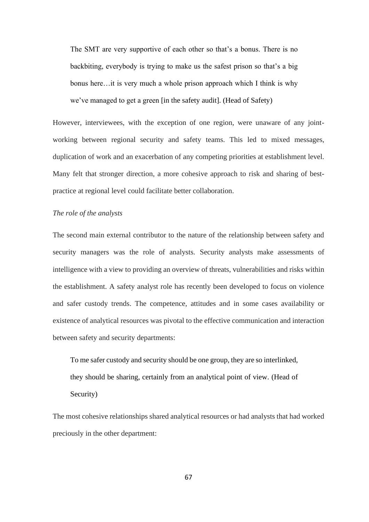The SMT are very supportive of each other so that's a bonus. There is no backbiting, everybody is trying to make us the safest prison so that's a big bonus here…it is very much a whole prison approach which I think is why we've managed to get a green [in the safety audit]. (Head of Safety)

However, interviewees, with the exception of one region, were unaware of any jointworking between regional security and safety teams. This led to mixed messages, duplication of work and an exacerbation of any competing priorities at establishment level. Many felt that stronger direction, a more cohesive approach to risk and sharing of bestpractice at regional level could facilitate better collaboration.

### *The role of the analysts*

The second main external contributor to the nature of the relationship between safety and security managers was the role of analysts. Security analysts make assessments of intelligence with a view to providing an overview of threats, vulnerabilities and risks within the establishment. A safety analyst role has recently been developed to focus on violence and safer custody trends. The competence, attitudes and in some cases availability or existence of analytical resources was pivotal to the effective communication and interaction between safety and security departments:

To me safer custody and security should be one group, they are so interlinked, they should be sharing, certainly from an analytical point of view. (Head of Security)

The most cohesive relationships shared analytical resources or had analysts that had worked preciously in the other department: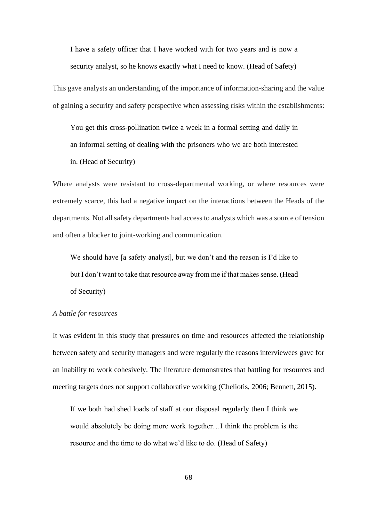I have a safety officer that I have worked with for two years and is now a security analyst, so he knows exactly what I need to know. (Head of Safety)

This gave analysts an understanding of the importance of information-sharing and the value of gaining a security and safety perspective when assessing risks within the establishments:

You get this cross-pollination twice a week in a formal setting and daily in an informal setting of dealing with the prisoners who we are both interested in. (Head of Security)

Where analysts were resistant to cross-departmental working, or where resources were extremely scarce, this had a negative impact on the interactions between the Heads of the departments. Not all safety departments had access to analysts which was a source of tension and often a blocker to joint-working and communication.

We should have [a safety analyst], but we don't and the reason is I'd like to but I don't want to take that resource away from me if that makes sense. (Head of Security)

#### *A battle for resources*

It was evident in this study that pressures on time and resources affected the relationship between safety and security managers and were regularly the reasons interviewees gave for an inability to work cohesively. The literature demonstrates that battling for resources and meeting targets does not support collaborative working (Cheliotis, 2006; Bennett, 2015).

If we both had shed loads of staff at our disposal regularly then I think we would absolutely be doing more work together…I think the problem is the resource and the time to do what we'd like to do. (Head of Safety)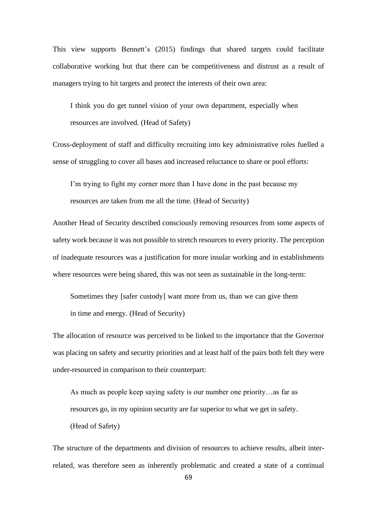This view supports Bennett's (2015) findings that shared targets could facilitate collaborative working but that there can be competitiveness and distrust as a result of managers trying to hit targets and protect the interests of their own area:

I think you do get tunnel vision of your own department, especially when resources are involved. (Head of Safety)

Cross-deployment of staff and difficulty recruiting into key administrative roles fuelled a sense of struggling to cover all bases and increased reluctance to share or pool efforts:

I'm trying to fight my corner more than I have done in the past because my resources are taken from me all the time. (Head of Security)

Another Head of Security described consciously removing resources from some aspects of safety work because it was not possible to stretch resources to every priority. The perception of inadequate resources was a justification for more insular working and in establishments where resources were being shared, this was not seen as sustainable in the long-term:

Sometimes they [safer custody] want more from us, than we can give them in time and energy. (Head of Security)

The allocation of resource was perceived to be linked to the importance that the Governor was placing on safety and security priorities and at least half of the pairs both felt they were under-resourced in comparison to their counterpart:

As much as people keep saying safety is our number one priority…as far as resources go, in my opinion security are far superior to what we get in safety. (Head of Safety)

The structure of the departments and division of resources to achieve results, albeit interrelated, was therefore seen as inherently problematic and created a state of a continual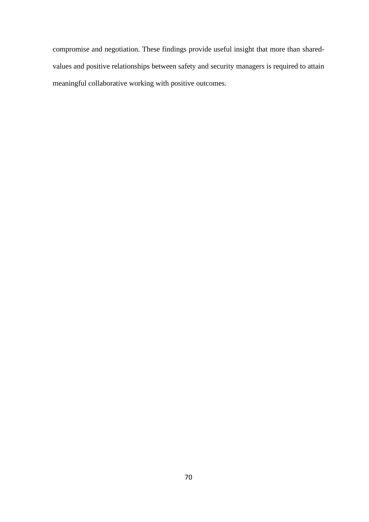compromise and negotiation. These findings provide useful insight that more than sharedvalues and positive relationships between safety and security managers is required to attain meaningful collaborative working with positive outcomes.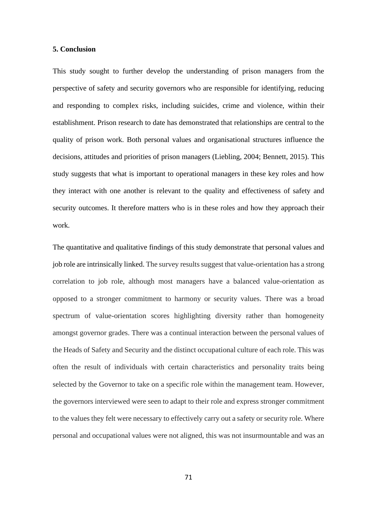### **5. Conclusion**

This study sought to further develop the understanding of prison managers from the perspective of safety and security governors who are responsible for identifying, reducing and responding to complex risks, including suicides, crime and violence, within their establishment. Prison research to date has demonstrated that relationships are central to the quality of prison work. Both personal values and organisational structures influence the decisions, attitudes and priorities of prison managers (Liebling, 2004; Bennett, 2015). This study suggests that what is important to operational managers in these key roles and how they interact with one another is relevant to the quality and effectiveness of safety and security outcomes. It therefore matters who is in these roles and how they approach their work.

The quantitative and qualitative findings of this study demonstrate that personal values and job role are intrinsically linked. The survey results suggest that value-orientation has a strong correlation to job role, although most managers have a balanced value-orientation as opposed to a stronger commitment to harmony or security values. There was a broad spectrum of value-orientation scores highlighting diversity rather than homogeneity amongst governor grades. There was a continual interaction between the personal values of the Heads of Safety and Security and the distinct occupational culture of each role. This was often the result of individuals with certain characteristics and personality traits being selected by the Governor to take on a specific role within the management team. However, the governors interviewed were seen to adapt to their role and express stronger commitment to the values they felt were necessary to effectively carry out a safety or security role. Where personal and occupational values were not aligned, this was not insurmountable and was an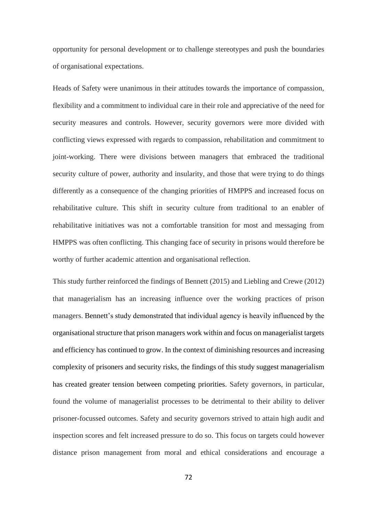opportunity for personal development or to challenge stereotypes and push the boundaries of organisational expectations.

Heads of Safety were unanimous in their attitudes towards the importance of compassion, flexibility and a commitment to individual care in their role and appreciative of the need for security measures and controls. However, security governors were more divided with conflicting views expressed with regards to compassion, rehabilitation and commitment to joint-working. There were divisions between managers that embraced the traditional security culture of power, authority and insularity, and those that were trying to do things differently as a consequence of the changing priorities of HMPPS and increased focus on rehabilitative culture. This shift in security culture from traditional to an enabler of rehabilitative initiatives was not a comfortable transition for most and messaging from HMPPS was often conflicting. This changing face of security in prisons would therefore be worthy of further academic attention and organisational reflection.

This study further reinforced the findings of Bennett (2015) and Liebling and Crewe (2012) that managerialism has an increasing influence over the working practices of prison managers. Bennett's study demonstrated that individual agency is heavily influenced by the organisational structure that prison managers work within and focus on managerialist targets and efficiency has continued to grow. In the context of diminishing resources and increasing complexity of prisoners and security risks, the findings of this study suggest managerialism has created greater tension between competing priorities. Safety governors, in particular, found the volume of managerialist processes to be detrimental to their ability to deliver prisoner-focussed outcomes. Safety and security governors strived to attain high audit and inspection scores and felt increased pressure to do so. This focus on targets could however distance prison management from moral and ethical considerations and encourage a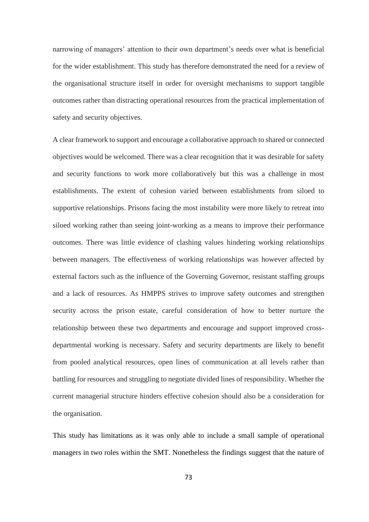narrowing of managers' attention to their own department's needs over what is beneficial for the wider establishment. This study has therefore demonstrated the need for a review of the organisational structure itself in order for oversight mechanisms to support tangible outcomes rather than distracting operational resources from the practical implementation of safety and security objectives.

A clear framework to support and encourage a collaborative approach to shared or connected objectives would be welcomed. There was a clear recognition that it was desirable for safety and security functions to work more collaboratively but this was a challenge in most establishments. The extent of cohesion varied between establishments from siloed to supportive relationships. Prisons facing the most instability were more likely to retreat into siloed working rather than seeing joint-working as a means to improve their performance outcomes. There was little evidence of clashing values hindering working relationships between managers. The effectiveness of working relationships was however affected by external factors such as the influence of the Governing Governor, resistant staffing groups and a lack of resources. As HMPPS strives to improve safety outcomes and strengthen security across the prison estate, careful consideration of how to better nurture the relationship between these two departments and encourage and support improved crossdepartmental working is necessary. Safety and security departments are likely to benefit from pooled analytical resources, open lines of communication at all levels rather than battling for resources and struggling to negotiate divided lines of responsibility. Whether the current managerial structure hinders effective cohesion should also be a consideration for the organisation.

This study has limitations as it was only able to include a small sample of operational managers in two roles within the SMT. Nonetheless the findings suggest that the nature of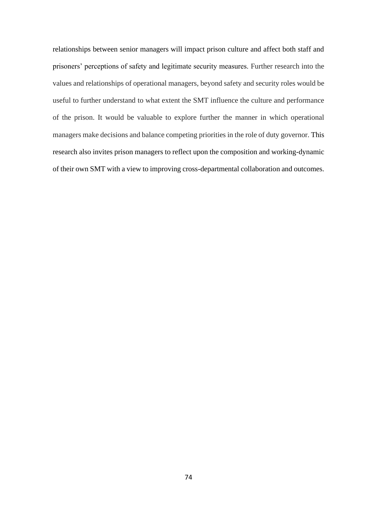relationships between senior managers will impact prison culture and affect both staff and prisoners' perceptions of safety and legitimate security measures. Further research into the values and relationships of operational managers, beyond safety and security roles would be useful to further understand to what extent the SMT influence the culture and performance of the prison. It would be valuable to explore further the manner in which operational managers make decisions and balance competing priorities in the role of duty governor. This research also invites prison managers to reflect upon the composition and working-dynamic of their own SMT with a view to improving cross-departmental collaboration and outcomes.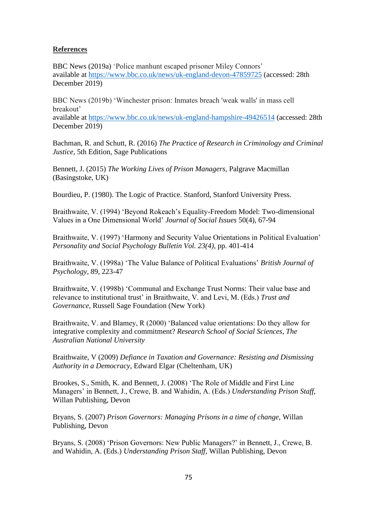# **References**

BBC News (2019a) 'Police manhunt escaped prisoner Miley Connors' available at<https://www.bbc.co.uk/news/uk-england-devon-47859725> (accessed: 28th December 2019)

BBC News (2019b) 'Winchester prison: Inmates breach 'weak walls' in mass cell breakout' available at<https://www.bbc.co.uk/news/uk-england-hampshire-49426514> (accessed: 28th December 2019)

Bachman, R. and Schutt, R. (2016) *The Practice of Research in Criminology and Criminal Justice,* 5th Edition, Sage Publications

Bennett, J. (2015) *The Working Lives of Prison Managers,* Palgrave Macmillan (Basingstoke, UK)

Bourdieu, P. (1980). The Logic of Practice. Stanford, Stanford University Press.

Braithwaite, V. (1994) 'Beyond Rokeach's Equality-Freedom Model: Two-dimensional Values in a One Dimensional World' *Journal of Social Issues* 50(4), 67-94

Braithwaite, V. (1997) 'Harmony and Security Value Orientations in Political Evaluation' *Personality and Social Psychology Bulletin Vol. 23(4),* pp. 401-414

Braithwaite, V. (1998a) 'The Value Balance of Political Evaluations' *British Journal of Psychology,* 89, 223-47

Braithwaite, V. (1998b) 'Communal and Exchange Trust Norms: Their value base and relevance to institutional trust' in Braithwaite, V. and Levi, M. (Eds.) *Trust and Governance,* Russell Sage Foundation (New York)

Braithwaite, V. and Blamey, R (2000) 'Balanced value orientations: Do they allow for integrative complexity and commitment? *Research School of Social Sciences, The Australian National University*

Braithwaite, V (2009) *Defiance in Taxation and Governance: Resisting and Dismissing Authority in a Democracy,* Edward Elgar (Cheltenham, UK)

Brookes, S., Smith, K. and Bennett, J. (2008) 'The Role of Middle and First Line Managers' in Bennett, J., Crewe, B. and Wahidin, A. (Eds.) *Understanding Prison Staff,* Willan Publishing, Devon

Bryans, S. (2007) *Prison Governors: Managing Prisons in a time of change,* Willan Publishing, Devon

Bryans, S. (2008) 'Prison Governors: New Public Managers?' in Bennett, J., Crewe, B. and Wahidin, A. (Eds.) *Understanding Prison Staff,* Willan Publishing, Devon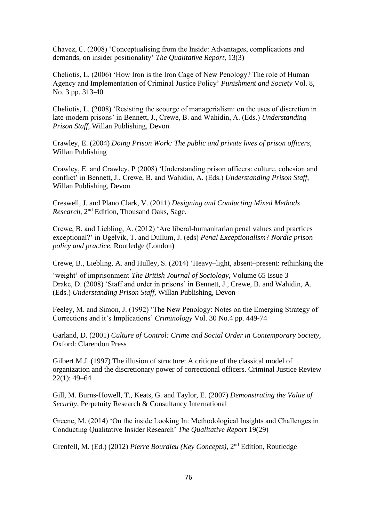Chavez, C. (2008) 'Conceptualising from the Inside: Advantages, complications and demands, on insider positionality' *The Qualitative Report,* 13(3)

Cheliotis, L. (2006) 'How Iron is the Iron Cage of New Penology? The role of Human Agency and Implementation of Criminal Justice Policy' *Punishment and Society* Vol. 8, No. 3 pp. 313-40

Cheliotis, L. (2008) 'Resisting the scourge of managerialism: on the uses of discretion in late-modern prisons' in Bennett, J., Crewe, B. and Wahidin, A. (Eds.) *Understanding Prison Staff,* Willan Publishing, Devon

Crawley, E. (2004) *Doing Prison Work: The public and private lives of prison officers,*  Willan Publishing

Crawley, E. and Crawley, P (2008) 'Understanding prison officers: culture, cohesion and conflict' in Bennett, J., Crewe, B. and Wahidin, A. (Eds.) *Understanding Prison Staff,* Willan Publishing, Devon

Creswell, J. and Plano Clark, V. (2011) *Designing and Conducting Mixed Methods*  Research, 2<sup>nd</sup> Edition, Thousand Oaks, Sage.

Crewe, B. and Liebling, A. (2012) 'Are liberal-humanitarian penal values and practices exceptional?' in Ugelvik, T. and Dullum, J. (eds) *Penal Exceptionalism? Nordic prison policy and practice,* Routledge (London)

Crewe, B., Liebling, A. and Hulley, S. (2014) 'Heavy–light, absent–present: rethinking the

'weight' of imprisonment' *The British Journal of Sociology,* Volume 65 Issue 3 Drake, D. (2008) 'Staff and order in prisons' in Bennett, J., Crewe, B. and Wahidin, A. (Eds.) *Understanding Prison Staff,* Willan Publishing, Devon

Feeley, M. and Simon, J. (1992) 'The New Penology: Notes on the Emerging Strategy of Corrections and it's Implications' *Criminology* Vol. 30 No.4 pp. 449-74

Garland, D. (2001) *Culture of Control: Crime and Social Order in Contemporary Society,*  Oxford: Clarendon Press

Gilbert M.J. (1997) The illusion of structure: A critique of the classical model of organization and the discretionary power of correctional officers. Criminal Justice Review 22(1): 49–64

Gill, M. Burns-Howell, T., Keats, G. and Taylor, E. (2007) *Demonstrating the Value of Security*, Perpetuity Research & Consultancy International

Greene, M. (2014) 'On the inside Looking In: Methodological Insights and Challenges in Conducting Qualitative Insider Research' *The Qualitative Report* 19(29)

Grenfell, M. (Ed.) (2012) Pierre Bourdieu (Key Concepts), 2<sup>nd</sup> Edition, Routledge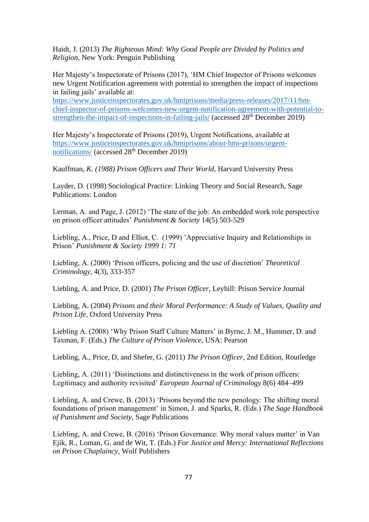Haidt, J. (2013) *The Righteous Mind: Why Good People are Divided by Politics and Religion,* New York: Penguin Publishing

Her Majesty's Inspectorate of Prisons (2017), 'HM Chief Inspector of Prisons welcomes new Urgent Notification agreement with potential to strengthen the impact of inspections in failing jails' available at:

[https://www.justiceinspectorates.gov.uk/hmiprisons/media/press-releases/2017/11/hm](https://www.justiceinspectorates.gov.uk/hmiprisons/media/press-releases/2017/11/hm-chief-inspector-of-prisons-welcomes-new-urgent-notification-agreement-with-potential-to-strengthen-the-impact-of-inspections-in-failing-jails/)[chief-inspector-of-prisons-welcomes-new-urgent-notification-agreement-with-potential-to](https://www.justiceinspectorates.gov.uk/hmiprisons/media/press-releases/2017/11/hm-chief-inspector-of-prisons-welcomes-new-urgent-notification-agreement-with-potential-to-strengthen-the-impact-of-inspections-in-failing-jails/)[strengthen-the-impact-of-inspections-in-failing-jails/](https://www.justiceinspectorates.gov.uk/hmiprisons/media/press-releases/2017/11/hm-chief-inspector-of-prisons-welcomes-new-urgent-notification-agreement-with-potential-to-strengthen-the-impact-of-inspections-in-failing-jails/) (accessed 28th December 2019)

Her Majesty's Inspectorate of Prisons (2019), Urgent Notifications, available at [https://www.justiceinspectorates.gov.uk/hmiprisons/about-hmi-prisons/urgent](https://www.justiceinspectorates.gov.uk/hmiprisons/about-hmi-prisons/urgent-notifications/)[notifications/](https://www.justiceinspectorates.gov.uk/hmiprisons/about-hmi-prisons/urgent-notifications/) (accessed 28<sup>th</sup> December 2019)

Kauffman*, K. (1988) Prison Officers and Their World,* Harvard University Press

Layder, D. (1998) Sociological Practice: Linking Theory and Social Research, Sage Publications: London

Lerman, A. and Page, J. (2012) 'The state of the job: An embedded work role perspective on prison officer attitudes' *Punishment & Society* 14(5) 503-529

Liebling, A., Price, D and Elliot, C. (1999) 'Appreciative Inquiry and Relationships in Prison' *Punishment & Society 1999 1: 71*

Liebling, A. (2000) 'Prison officers, policing and the use of discretion' *Theoretical Criminology,* 4(3), 333-357

Liebling, A. and Price, D. (2001) *The Prison Officer*, Leyhill: Prison Service Journal

Liebling, A. (2004) *Prisons and their Moral Performance: A Study of Values, Quality and Prison Life,* Oxford University Press

Liebling A. (2008) 'Why Prison Staff Culture Matters' in Byrne, J. M., Hummer, D. and Taxman, F. (Eds.) *The Culture of Prison Violence,* USA: Pearson

Liebling, A., Price, D, and Shefer, G. (2011) *The Prison Officer*, 2nd Edition, Routledge

Liebling, A. (2011) 'Distinctions and distinctiveness in the work of prison officers: Legitimacy and authority revisited' *European Journal of Criminology* 8(6) 484–499

Liebling, A. and Crewe, B. (2013) 'Prisons beyond the new penology: The shifting moral foundations of prison management' in Simon, J. and Sparks, R. (Eds.) *The Sage Handbook of Punishment and Society,* Sage Publications

Liebling, A. and Crewe, B. (2016) 'Prison Governance: Why moral values matter' in Van Ejik, R., Loman, G. and de Wit, T. (Eds.) *For Justice and Mercy: International Reflections on Prison Chaplaincy,* Wolf Publishers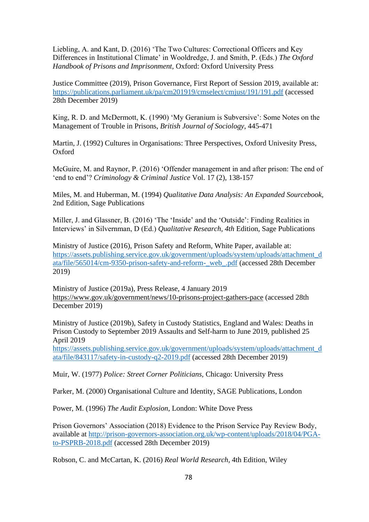Liebling, A. and Kant, D. (2016) 'The Two Cultures: Correctional Officers and Key Differences in Institutional Climate' in Wooldredge, J. and Smith, P. (Eds.) *The Oxford Handbook of Prisons and Imprisonment,* Oxford: Oxford University Press

Justice Committee (2019), Prison Governance, First Report of Session 2019, available at: <https://publications.parliament.uk/pa/cm201919/cmselect/cmjust/191/191.pdf> (accessed 28th December 2019)

King, R. D. and McDermott, K. (1990) 'My Geranium is Subversive': Some Notes on the Management of Trouble in Prisons, *British Journal of Sociology,* 445-471

Martin, J. (1992) Cultures in Organisations: Three Perspectives, Oxford Univesity Press, Oxford

McGuire, M. and Raynor, P. (2016) 'Offender management in and after prison: The end of 'end to end'? *Criminology & Criminal Justice* Vol. 17 (2), 138-157

Miles, M. and Huberman, M. (1994) *Qualitative Data Analysis: An Expanded Sourcebook,*  2nd Edition, Sage Publications

Miller, J. and Glassner, B. (2016) 'The 'Inside' and the 'Outside': Finding Realities in Interviews' in Silvernman, D (Ed.) *Qualitative Research, 4th* Edition, Sage Publications

Ministry of Justice (2016), Prison Safety and Reform, White Paper, available at: [https://assets.publishing.service.gov.uk/government/uploads/system/uploads/attachment\\_d](https://assets.publishing.service.gov.uk/government/uploads/system/uploads/attachment_data/file/565014/cm-9350-prison-safety-and-reform-_web_.pdf) [ata/file/565014/cm-9350-prison-safety-and-reform-\\_web\\_.pdf](https://assets.publishing.service.gov.uk/government/uploads/system/uploads/attachment_data/file/565014/cm-9350-prison-safety-and-reform-_web_.pdf) (accessed 28th December 2019)

Ministry of Justice (2019a), Press Release, 4 January 2019 <https://www.gov.uk/government/news/10-prisons-project-gathers-pace> (accessed 28th December 2019)

Ministry of Justice (2019b), Safety in Custody Statistics, England and Wales: Deaths in Prison Custody to September 2019 Assaults and Self-harm to June 2019, published 25 April 2019

[https://assets.publishing.service.gov.uk/government/uploads/system/uploads/attachment\\_d](https://assets.publishing.service.gov.uk/government/uploads/system/uploads/attachment_data/file/843117/safety-in-custody-q2-2019.pdf) [ata/file/843117/safety-in-custody-q2-2019.pdf](https://assets.publishing.service.gov.uk/government/uploads/system/uploads/attachment_data/file/843117/safety-in-custody-q2-2019.pdf) (accessed 28th December 2019)

Muir, W. (1977) *Police: Street Corner Politicians,* Chicago: University Press

Parker, M. (2000) Organisational Culture and Identity, SAGE Publications, London

Power, M. (1996) *The Audit Explosion*, London: White Dove Press

Prison Governors' Association (2018) Evidence to the Prison Service Pay Review Body, available at [http://prison-governors-association.org.uk/wp-content/uploads/2018/04/PGA](http://prison-governors-association.org.uk/wp-content/uploads/2018/04/PGA-to-PSPRB-2018.pdf)[to-PSPRB-2018.pdf](http://prison-governors-association.org.uk/wp-content/uploads/2018/04/PGA-to-PSPRB-2018.pdf) (accessed 28th December 2019)

Robson, C. and McCartan, K. (2016) *Real World Research,* 4th Edition, Wiley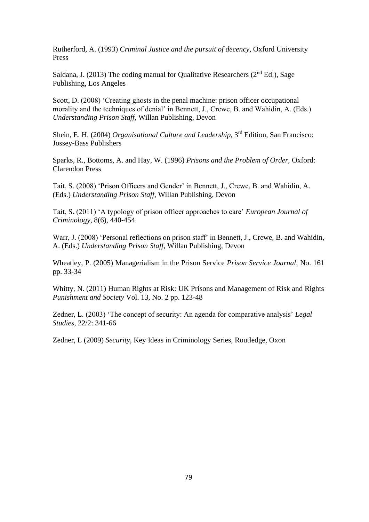Rutherford, A. (1993) *Criminal Justice and the pursuit of decency,* Oxford University Press

Saldana, J. (2013) The coding manual for Qualitative Researchers ( $2<sup>nd</sup> Ed.$ ), Sage Publishing, Los Angeles

Scott, D. (2008) 'Creating ghosts in the penal machine: prison officer occupational morality and the techniques of denial' in Bennett, J., Crewe, B. and Wahidin, A. (Eds.) *Understanding Prison Staff,* Willan Publishing, Devon

Shein, E. H. (2004) *Organisational Culture and Leadership*, 3<sup>rd</sup> Edition, San Francisco: Jossey-Bass Publishers

Sparks, R., Bottoms, A. and Hay, W. (1996) *Prisons and the Problem of Order,* Oxford: Clarendon Press

Tait, S. (2008) 'Prison Officers and Gender' in Bennett, J., Crewe, B. and Wahidin, A. (Eds.) *Understanding Prison Staff,* Willan Publishing, Devon

Tait, S. (2011) 'A typology of prison officer approaches to care' *European Journal of Criminology,* 8(6), 440-454

Warr, J. (2008) 'Personal reflections on prison staff' in Bennett, J., Crewe, B. and Wahidin, A. (Eds.) *Understanding Prison Staff,* Willan Publishing, Devon

Wheatley, P. (2005) Managerialism in the Prison Service *Prison Service Journal,* No. 161 pp. 33-34

Whitty, N. (2011) Human Rights at Risk: UK Prisons and Management of Risk and Rights *Punishment and Society* Vol. 13, No. 2 pp. 123-48

Zedner, L. (2003) 'The concept of security: An agenda for comparative analysis' *Legal Studies,* 22/2: 341-66

Zedner, L (2009) *Security*, Key Ideas in Criminology Series, Routledge, Oxon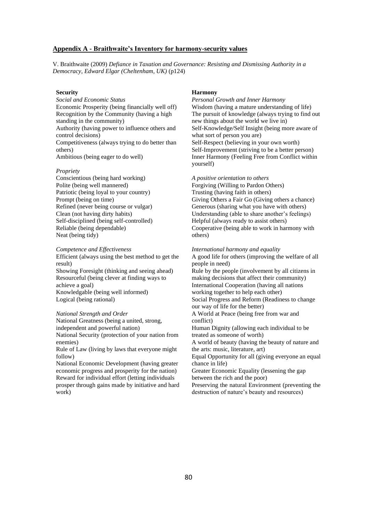#### **Appendix A - Braithwaite's Inventory for harmony-security values**

V. Braithwaite (2009) *Defiance in Taxation and Governance: Resisting and Dismissing Authority in a Democracy, Edward Elgar (Cheltenham, UK)* (p124)

#### **Security**

*Social and Economic Status* Economic Prosperity (being financially well off) Recognition by the Community (having a high standing in the community) Authority (having power to influence others and control decisions) Competitiveness (always trying to do better than others) Ambitious (being eager to do well)

#### *Propriety*

Conscientious (being hard working) Polite (being well mannered) Patriotic (being loyal to your country) Prompt (being on time) Refined (never being course or vulgar) Clean (not having dirty habits) Self-disciplined (being self-controlled) Reliable (being dependable) Neat (being tidy)

*Competence and Effectiveness* Efficient (always using the best method to get the result) Showing Foresight (thinking and seeing ahead) Resourceful (being clever at finding ways to achieve a goal) Knowledgable (being well informed) Logical (being rational)

#### *National Strength and Order*

National Greatness (being a united, strong, independent and powerful nation) National Security (protection of your nation from enemies)

Rule of Law (living by laws that everyone might follow)

National Economic Development (having greater economic progress and prosperity for the nation) Reward for individual effort (letting individuals prosper through gains made by initiative and hard work)

#### **Harmony**

*Personal Growth and Inner Harmony* Wisdom (having a mature understanding of life) The pursuit of knowledge (always trying to find out new things about the world we live in) Self-Knowledge/Self Insight (being more aware of what sort of person you are) Self-Respect (believing in your own worth) Self-Improvement (striving to be a better person) Inner Harmony (Feeling Free from Conflict within yourself)

*A positive orientation to others*

Forgiving (Willing to Pardon Others) Trusting (having faith in others) Giving Others a Fair Go (Giving others a chance) Generous (sharing what you have with others) Understanding (able to share another's feelings) Helpful (always ready to assist others) Cooperative (being able to work in harmony with others)

*International harmony and equality*

A good life for others (improving the welfare of all people in need) Rule by the people (involvement by all citizens in making decisions that affect their community)

International Cooperation (having all nations working together to help each other)

Social Progress and Reform (Readiness to change our way of life for the better)

A World at Peace (being free from war and conflict)

Human Dignity (allowing each individual to be treated as someone of worth)

A world of beauty (having the beauty of nature and the arts: music, literature, art)

Equal Opportunity for all (giving everyone an equal chance in life)

Greater Economic Equality (lessening the gap between the rich and the poor)

Preserving the natural Environment (preventing the destruction of nature's beauty and resources)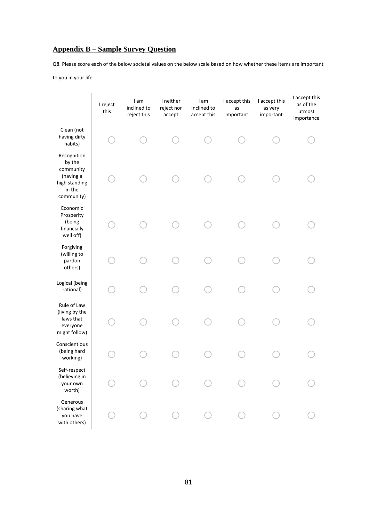# **Appendix B – Sample Survey Question**

Q8. Please score each of the below societal values on the below scale based on how whether these items are important

to you in your life

|                                                                                          | I reject<br>this | I am<br>inclined to<br>reject this | I neither<br>reject nor<br>accept | I am<br>inclined to<br>accept this | I accept this<br>as<br>important | I accept this<br>as very<br>important | I accept this<br>as of the<br>utmost<br>importance |
|------------------------------------------------------------------------------------------|------------------|------------------------------------|-----------------------------------|------------------------------------|----------------------------------|---------------------------------------|----------------------------------------------------|
| Clean (not<br>having dirty<br>habits)                                                    |                  |                                    |                                   |                                    |                                  |                                       |                                                    |
| Recognition<br>by the<br>community<br>(having a<br>high standing<br>in the<br>community) |                  |                                    |                                   |                                    |                                  |                                       |                                                    |
| Economic<br>Prosperity<br>(being<br>financially<br>well off)                             |                  |                                    |                                   |                                    |                                  |                                       |                                                    |
| Forgiving<br>(willing to<br>pardon<br>others)                                            |                  |                                    |                                   |                                    |                                  |                                       |                                                    |
| Logical (being<br>rational)                                                              |                  |                                    |                                   |                                    |                                  |                                       |                                                    |
| Rule of Law<br>(living by the<br>laws that<br>everyone<br>might follow)                  |                  |                                    |                                   |                                    |                                  |                                       |                                                    |
| Conscientious<br>(being hard<br>working)                                                 |                  |                                    |                                   |                                    |                                  |                                       |                                                    |
| Self-respect<br>(believing in<br>your own<br>worth)                                      |                  |                                    |                                   |                                    |                                  |                                       |                                                    |
| Generous<br>(sharing what<br>you have<br>with others)                                    |                  |                                    |                                   |                                    |                                  |                                       |                                                    |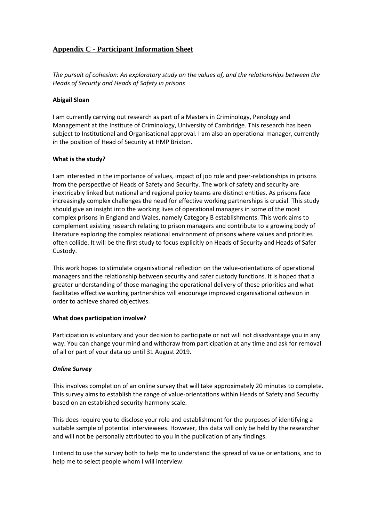# **Appendix C - Participant Information Sheet**

*The pursuit of cohesion: An exploratory study on the values of, and the relationships between the Heads of Security and Heads of Safety in prisons*

### **Abigail Sloan**

I am currently carrying out research as part of a Masters in Criminology, Penology and Management at the Institute of Criminology, University of Cambridge. This research has been subject to Institutional and Organisational approval. I am also an operational manager, currently in the position of Head of Security at HMP Brixton.

### **What is the study?**

I am interested in the importance of values, impact of job role and peer-relationships in prisons from the perspective of Heads of Safety and Security. The work of safety and security are inextricably linked but national and regional policy teams are distinct entities. As prisons face increasingly complex challenges the need for effective working partnerships is crucial. This study should give an insight into the working lives of operational managers in some of the most complex prisons in England and Wales, namely Category B establishments. This work aims to complement existing research relating to prison managers and contribute to a growing body of literature exploring the complex relational environment of prisons where values and priorities often collide. It will be the first study to focus explicitly on Heads of Security and Heads of Safer Custody.

This work hopes to stimulate organisational reflection on the value-orientations of operational managers and the relationship between security and safer custody functions. It is hoped that a greater understanding of those managing the operational delivery of these priorities and what facilitates effective working partnerships will encourage improved organisational cohesion in order to achieve shared objectives.

# **What does participation involve?**

Participation is voluntary and your decision to participate or not will not disadvantage you in any way. You can change your mind and withdraw from participation at any time and ask for removal of all or part of your data up until 31 August 2019.

# *Online Survey*

This involves completion of an online survey that will take approximately 20 minutes to complete. This survey aims to establish the range of value-orientations within Heads of Safety and Security based on an established security-harmony scale.

This does require you to disclose your role and establishment for the purposes of identifying a suitable sample of potential interviewees. However, this data will only be held by the researcher and will not be personally attributed to you in the publication of any findings.

I intend to use the survey both to help me to understand the spread of value orientations, and to help me to select people whom I will interview.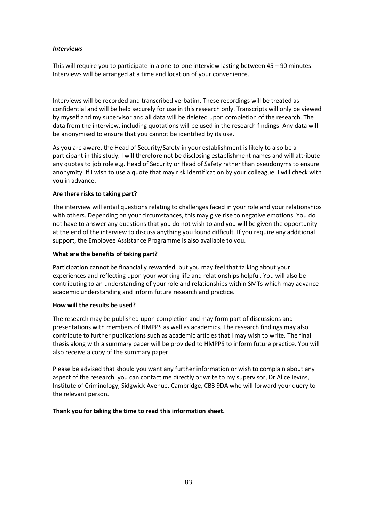### *Interviews*

This will require you to participate in a one-to-one interview lasting between 45 – 90 minutes. Interviews will be arranged at a time and location of your convenience.

Interviews will be recorded and transcribed verbatim. These recordings will be treated as confidential and will be held securely for use in this research only. Transcripts will only be viewed by myself and my supervisor and all data will be deleted upon completion of the research. The data from the interview, including quotations will be used in the research findings. Any data will be anonymised to ensure that you cannot be identified by its use.

As you are aware, the Head of Security/Safety in your establishment is likely to also be a participant in this study. I will therefore not be disclosing establishment names and will attribute any quotes to job role e.g. Head of Security or Head of Safety rather than pseudonyms to ensure anonymity. If I wish to use a quote that may risk identification by your colleague, I will check with you in advance.

# **Are there risks to taking part?**

The interview will entail questions relating to challenges faced in your role and your relationships with others. Depending on your circumstances, this may give rise to negative emotions. You do not have to answer any questions that you do not wish to and you will be given the opportunity at the end of the interview to discuss anything you found difficult. If you require any additional support, the Employee Assistance Programme is also available to you.

# **What are the benefits of taking part?**

Participation cannot be financially rewarded, but you may feel that talking about your experiences and reflecting upon your working life and relationships helpful. You will also be contributing to an understanding of your role and relationships within SMTs which may advance academic understanding and inform future research and practice.

# **How will the results be used?**

The research may be published upon completion and may form part of discussions and presentations with members of HMPPS as well as academics. The research findings may also contribute to further publications such as academic articles that I may wish to write. The final thesis along with a summary paper will be provided to HMPPS to inform future practice. You will also receive a copy of the summary paper.

Please be advised that should you want any further information or wish to complain about any aspect of the research, you can contact me directly or write to my supervisor, Dr Alice Ievins, Institute of Criminology, Sidgwick Avenue, Cambridge, CB3 9DA who will forward your query to the relevant person.

# **Thank you for taking the time to read this information sheet.**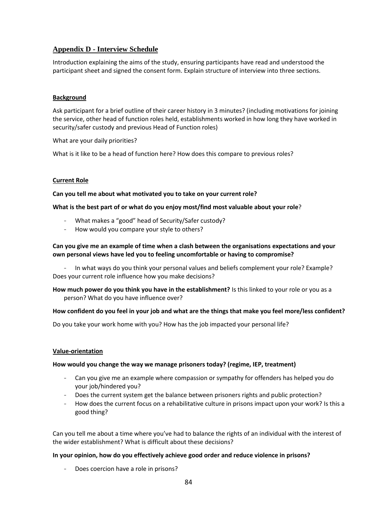# **Appendix D - Interview Schedule**

Introduction explaining the aims of the study, ensuring participants have read and understood the participant sheet and signed the consent form. Explain structure of interview into three sections.

# **Background**

Ask participant for a brief outline of their career history in 3 minutes? (including motivations for joining the service, other head of function roles held, establishments worked in how long they have worked in security/safer custody and previous Head of Function roles)

What are your daily priorities?

What is it like to be a head of function here? How does this compare to previous roles?

# **Current Role**

**Can you tell me about what motivated you to take on your current role?**

### **What is the best part of or what do you enjoy most/find most valuable about your role**?

- What makes a "good" head of Security/Safer custody?
- How would you compare your style to others?

# **Can you give me an example of time when a clash between the organisations expectations and your own personal views have led you to feeling uncomfortable or having to compromise?**

In what ways do you think your personal values and beliefs complement your role? Example? Does your current role influence how you make decisions?

**How much power do you think you have in the establishment?** Is this linked to your role or you as a person? What do you have influence over?

# **How confident do you feel in your job and what are the things that make you feel more/less confident?**

Do you take your work home with you? How has the job impacted your personal life?

# **Value-orientation**

#### **How would you change the way we manage prisoners today? (regime, IEP, treatment)**

- Can you give me an example where compassion or sympathy for offenders has helped you do your job/hindered you?
- Does the current system get the balance between prisoners rights and public protection?
- How does the current focus on a rehabilitative culture in prisons impact upon your work? Is this a good thing?

Can you tell me about a time where you've had to balance the rights of an individual with the interest of the wider establishment? What is difficult about these decisions?

# **In your opinion, how do you effectively achieve good order and reduce violence in prisons?**

Does coercion have a role in prisons?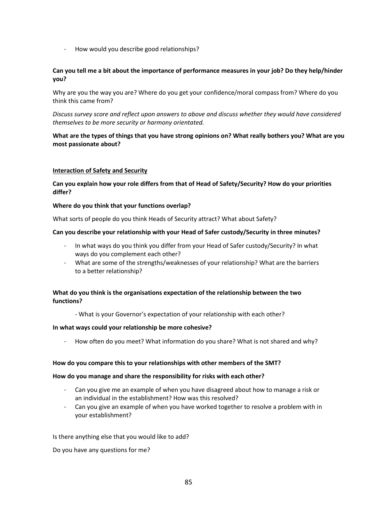- How would you describe good relationships?

# **Can you tell me a bit about the importance of performance measures in your job? Do they help/hinder you?**

Why are you the way you are? Where do you get your confidence/moral compass from? Where do you think this came from?

*Discuss survey score and reflect upon answers to above and discuss whether they would have considered themselves to be more security or harmony orientated.*

# **What are the types of things that you have strong opinions on? What really bothers you? What are you most passionate about?**

### **Interaction of Safety and Security**

**Can you explain how your role differs from that of Head of Safety/Security? How do your priorities differ?** 

### **Where do you think that your functions overlap?**

What sorts of people do you think Heads of Security attract? What about Safety?

### **Can you describe your relationship with your Head of Safer custody/Security in three minutes?**

- In what ways do you think you differ from your Head of Safer custody/Security? In what ways do you complement each other?
- What are some of the strengths/weaknesses of your relationship? What are the barriers to a better relationship?

# **What do you think is the organisations expectation of the relationship between the two functions?**

- What is your Governor's expectation of your relationship with each other?

#### **In what ways could your relationship be more cohesive?**

- How often do you meet? What information do you share? What is not shared and why?

#### **How do you compare this to your relationships with other members of the SMT?**

#### **How do you manage and share the responsibility for risks with each other?**

- Can you give me an example of when you have disagreed about how to manage a risk or an individual in the establishment? How was this resolved?
- Can you give an example of when you have worked together to resolve a problem with in your establishment?

Is there anything else that you would like to add?

Do you have any questions for me?